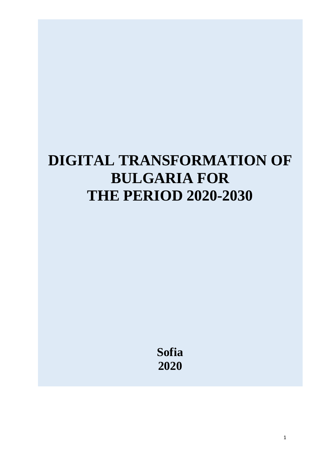# **DIGITAL TRANSFORMATION OF BULGARIA FOR THE PERIOD 2020-2030**

**Sofia 2020**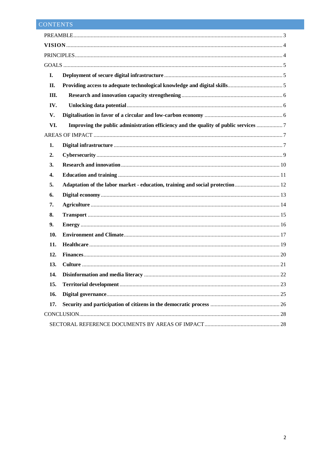# CONTENTS

| I.   |  |
|------|--|
| II.  |  |
| III. |  |
| IV.  |  |
| V.   |  |
| VI.  |  |
|      |  |
| 1.   |  |
| 2.   |  |
| 3.   |  |
| 4.   |  |
| 5.   |  |
| 6.   |  |
| 7.   |  |
| 8.   |  |
| 9.   |  |
| 10.  |  |
| 11.  |  |
| 12.  |  |
| 13.  |  |
| 14.  |  |
| 15.  |  |
| 16.  |  |
| 17.  |  |
|      |  |
|      |  |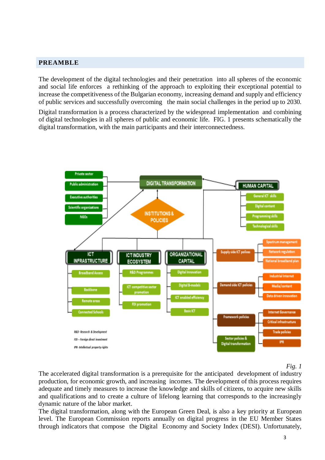## <span id="page-2-0"></span>**PREAMBLE**

The development of the digital technologies and their penetration into all spheres of the economic and social life enforces a rethinking of the approach to exploiting their exceptional potential to increase the competitiveness of the Bulgarian economy, increasing demand and supply and efficiency of public services and successfully overcoming the main social challenges in the period up to 2030.

Digital transformation is a process characterized by the widespread implementation and combining of digital technologies in all spheres of public and economic life. FIG. 1 presents schematically the digital transformation, with the main participants and their interconnectedness.



*Fig. 1*

The accelerated digital transformation is a prerequisite for the anticipated development of industry production, for economic growth, and increasing incomes. The development of this process requires adequate and timely measures to increase the knowledge and skills of citizens, to acquire new skills and qualifications and to create a culture of lifelong learning that corresponds to the increasingly dynamic nature of the labor market.

The digital transformation, along with the European Green Deal, is also a key priority at European level. The European Commission reports annually on digital progress in the EU Member States through indicators that compose the Digital Economy and Society Index (DESI). Unfortunately,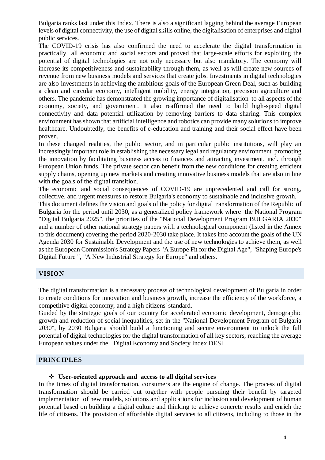Bulgaria ranks last under this Index. There is also a significant lagging behind the average European levels of digital connectivity, the use of digital skills online, the digitalisation of enterprises and digital public services.

The COVID-19 crisis has also confirmed the need to accelerate the digital transformation in practically all economic and social sectors and proved that large-scale efforts for exploiting the potential of digital technologies are not only necessary but also mandatory. The economy will increase its competitiveness and sustainability through them, as well as will create new sources of revenue from new business models and services that create jobs. Investments in digital technologies are also investments in achieving the ambitious goals of the European Green Deal, such as building a clean and circular economy, intelligent mobility, energy integration, precision agriculture and others. The pandemic has demonstrated the growing importance of digitalisation to all aspects of the economy, society, and government. It also reaffirmed the need to build high-speed digital connectivity and data potential utilization by removing barriers to data sharing. This complex environment has shown that artificial intelligence and robotics can provide many solutions to improve healthcare. Undoubtedly, the benefits of e-education and training and their social effect have been proven.

In these changed realities, the public sector, and in particular public institutions, will play an increasingly important role in establishing the necessary legal and regulatory environment promoting the innovation by facilitating business access to finances and attracting investment, incl. through European Union funds. The private sector can benefit from the new conditions for creating efficient supply chains, opening up new markets and creating innovative business models that are also in line with the goals of the digital transition.

The economic and social consequences of COVID-19 are unprecedented and call for strong, collective, and urgent measures to restore Bulgaria's economy to sustainable and inclusive growth.

This document defines the vision and goals of the policy for digital transformation of the Republic of Bulgaria for the period until 2030, as a generalized policy framework where the National Program "Digital Bulgaria 2025", the priorities of the "National Development Program BULGARIA 2030" and a number of other national strategy papers with a technological component (listed in the Annex to this document) covering the period 2020-2030 take place. It takes into account the goals of the UN Agenda 2030 for Sustainable Development and the use of new technologies to achieve them, as well as the European Commission's Strategy Papers "A Europe Fit for the Digital Age", "Shaping Europe's Digital Future ", "A New Industrial Strategy for Europe" and others.

## <span id="page-3-0"></span>**VISION**

The digital transformation is a necessary process of technological development of Bulgaria in order to create conditions for innovation and business growth, increase the efficiency of the workforce, a competitive digital economy, and a high citizens' standard.

Guided by the strategic goals of our country for accelerated economic development, demographic growth and reduction of social inequalities, set in the "National Development Program of Bulgaria 2030", by 2030 Bulgaria should build a functioning and secure environment to unlock the full potential of digital technologies for the digital transformation of all key sectors, reaching the average European values under the Digital Economy and Society Index DESI.

## <span id="page-3-1"></span>**PRINCIPLES**

#### **User-oriented approach and access to all digital services**

In the times of digital transformation, consumers are the engine of change. The process of digital transformation should be carried out together with people pursuing their benefit by targeted implementation of new models, solutions and applications for inclusion and development of human potential based on building a digital culture and thinking to achieve concrete results and enrich the life of citizens. The provision of affordable digital services to all citizens, including to those in the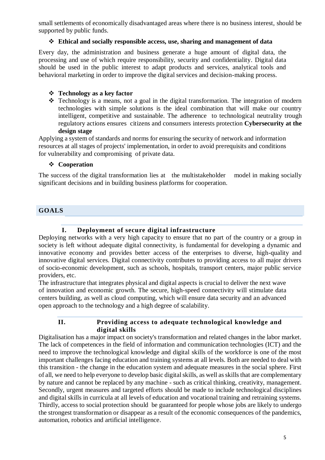small settlements of economically disadvantaged areas where there is no business interest, should be supported by public funds.

## **Ethical and socially responsible access, use, sharing and management of data**

Every day, the administration and business generate a huge amount of digital data, the processing and use of which require responsibility, security and confidentiality. Digital data should be used in the public interest to adapt products and services, analytical tools and behavioral marketing in order to improve the digital services and decision-making process.

## **Technology as a key factor**

 $\cdot \cdot$  Technology is a means, not a goal in the digital transformation. The integration of modern technologies with simple solutions is the ideal combination that will make our country intelligent, competitive and sustainable. The adherence to technological neutrality trough regulatory actions ensures citizens and consumers interests protection **Cybersecurity at the design stage**

Applying a system of standards and norms for ensuring the security of network and information resources at all stages of projects' implementation, in order to avoid prerequisits and conditions for vulnerability and compromising of private data.

## **Cooperation**

The success of the digital transformation lies at the multistakeholder model in making socially significant decisions and in building business platforms for cooperation.

## <span id="page-4-0"></span>**GOALS**

## **I. Deployment of secure digital infrastructure**

<span id="page-4-1"></span>Deploying networks with a very high capacity to ensure that no part of the country or a group in society is left without adequate digital connectivity, is fundamental for developing a dynamic and innovative economy and provides better access of the enterprises to diverse, high-quality and innovative digital services. Digital connectivity contributes to providing access to all major drivers of socio-economic development, such as schools, hospitals, transport centers, major public service providers, etc.

The infrastructure that integrates physical and digital aspects is crucial to deliver the next wave of innovation and economic growth. The secure, high-speed connectivity will stimulate data centers building, as well as cloud computing, which will ensure data security and an advanced open approach to the technology and a high degree of scalability.

## **II. Providing access to adequate technological knowledge and digital skills**

<span id="page-4-2"></span>Digitalisation has a major impact on society's transformation and related changes in the labor market. The lack of competences in the field of information and communication technologies (ICT) and the need to improve the technological knowledge and digital skills of the workforce is one of the most important challenges facing education and training systems at all levels. Both are needed to deal with this transition - the change in the education system and adequate measures in the social sphere. First of all, we need to help everyone to develop basic digital skills, as well as skills that are complementary by nature and cannot be replaced by any machine - such as critical thinking, creativity, management. Secondly, urgent measures and targeted efforts should be made to include technological disciplines and digital skills in curricula at all levels of education and vocational training and retraining systems. Thirdly, access to social protection should be guaranteed for people whose jobs are likely to undergo the strongest transformation or disappear as a result of the economic consequences of the pandemics, automation, robotics and artificial intelligence.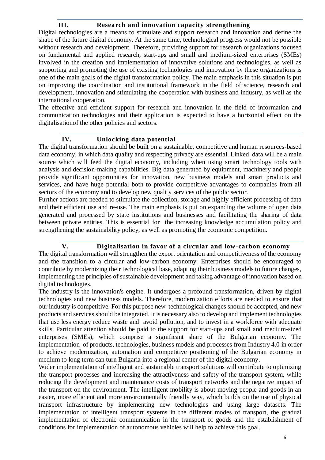#### **III. Research and innovation capacity strengthening**

<span id="page-5-0"></span>Digital technologies are a means to stimulate and support research and innovation and define the shape of the future digital economy. At the same time, technological progress would not be possible without research and development. Therefore, providing support for research organizations focused on fundamental and applied research, start-ups and small and medium-sized enterprises (SMEs) involved in the creation and implementation of innovative solutions and technologies, as well as supporting and promoting the use of existing technologies and innovation by these organizations is one of the main goals of the digital transformation policy. The main emphasis in this situation is put on improving the coordination and institutional framework in the field of science, research and development, innovation and stimulating the cooperation with business and industry, as well as the international cooperation.

The effective and efficient support for research and innovation in the field of information and communication technologies and their application is expected to have a horizontal effect on the digitalisationof the other policies and sectors.

## **IV. Unlocking data potential**

<span id="page-5-1"></span>The digital transformation should be built on a sustainable, competitive and human resources-based data economy, in which data quality and respecting privacy are essential. Linked data will be a main source which will feed the digital economy, including when using smart technology tools with analysis and decision-making capabilities. Big data generated by equipment, machinery and people provide significant opportunities for innovation, new business models and smart products and services, and have huge potential both to provide competitive advantages to companies from all sectors of the economy and to develop new quality services of the public sector.

Further actions are needed to stimulate the collection, storage and highly efficient processing of data and their efficient use and re-use. The main emphasis is put on expanding the volume of open data generated and processed by state institutions and businesses and facilitating the sharing of data between private entities. This is essential for the increasing knowledge accumulation policy and strengthening the sustainability policy, as well as promoting the economic competition.

## **V. Digitalisation in favor of a circular and low-carbon economy**

<span id="page-5-2"></span>The digital transformation will strengthen the export orientation and competitiveness of the economy and the transition to a circular and low-carbon economy. Enterprises should be encouraged to contribute by modernizing their technological base, adapting their business models to future changes, implementing the principles of sustainable development and taking advantage of innovation based on digital technologies.

The industry is the innovation's engine. It undergoes a profound transformation, driven by digital technologies and new business models. Therefore, modernization efforts are needed to ensure that our industry is competitive. For this purpose new technological changes should be accepted, and new products and services should be integrated. It is necessary also to develop and implement technologies that use less energy reduce waste and avoid pollution, and to invest in a workforce with adequate skills. Particular attention should be paid to the support for start-ups and small and medium-sized enterprises (SMEs), which comprise a significant share of the Bulgarian economy. The implementation of products, technologies, business models and processes from Industry 4.0 in order to achieve modernization, automation and competitive positioning of the Bulgarian economy in medium to long term can turn Bulgaria into a regional center of the digital economy.

Wider implementation of intelligent and sustainable transport solutions will contribute to optimizing the transport processes and increasing the attractiveness and safety of the transport system, while reducing the development and maintenance costs of transport networks and the negative impact of the transport on the environment. The intelligent mobility is about moving people and goods in an easier, more efficient and more environmentally friendly way, which builds on the use of physical transport infrastructure by implementing new technologies and using large datasets. The implementation of intelligent transport systems in the different modes of transport, the gradual implementation of electronic communication in the transport of goods and the establishment of conditions for implementation of autonomous vehicles will help to achieve this goal.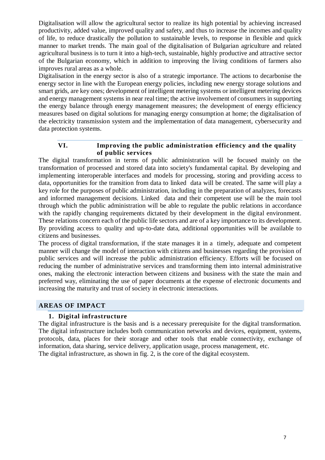Digitalisation will allow the agricultural sector to realize its high potential by achieving increased productivity, added value, improved quality and safety, and thus to increase the incomes and quality of life, to reduce drastically the pollution to sustainable levels, to response in flexible and quick manner to market trends. The main goal of the digitalisation of Bulgarian agriculture and related agricultural business is to turn it into a high-tech, sustainable, highly productive and attractive sector of the Bulgarian economy, which in addition to improving the living conditions of farmers also improves rural areas as a whole.

Digitalisation in the energy sector is also of а strategic importance. The actions to decarbonise the energy sector in line with the European energy policies, including new energy storage solutions and smart grids, are key ones; development of intelligent metering systems or intelligent metering devices and energy management systems in near real time; the active involvement of consumers in supporting the energy balance through energy management measures; the development of energy efficiency measures based on digital solutions for managing energy consumption at home; the digitalisation of the electricity transmission system and the implementation of data management, cybersecurity and data protection systems.

## **VI. Improving the public administration efficiency and the quality of public services**

<span id="page-6-0"></span>The digital transformation in terms of public administration will be focused mainly on the transformation of processed and stored data into society's fundamental capital. By developing and implementing interoperable interfaces and models for processing, storing and providing access to data, opportunities for the transition from data to linked data will be created. The same will play a key role for the purposes of public administration, including in the preparation of analyzes, forecasts and informed management decisions. Linked data and their competent use will be the main tool through which the public administration will be able to regulate the public relations in accordance with the rapidly changing requirements dictated by their development in the digital environment. These relations concern each of the public life sectors and are of a key importance to its development. By providing access to quality and up-to-date data, additional opportunities will be available to citizens and businesses.

The process of digital transformation, if the state manages it in a timely, adequate and competent manner will change the model of interaction with citizens and businesses regarding the provision of public services and will increase the public administration efficiency. Efforts will be focused on reducing the number of administrative services and transforming them into internal administrative ones, making the electronic interaction between citizens and business with the state the main and preferred way, eliminating the use of paper documents at the expense of electronic documents and increasing the maturity and trust of society in electronic interactions.

## <span id="page-6-2"></span><span id="page-6-1"></span>**AREAS OF IMPACT**

## **1. Digital infrastructure**

The digital infrastructure is the basis and is a necessary prerequisite for the digital transformation. The digital infrastructure includes both communication networks and devices, equipment, systems, protocols, data, places for their storage and other tools that enable connectivity, exchange of information, data sharing, service delivery, application usage, process management, etc. The digital infrastructure, as shown in fig. 2, is the core of the digital ecosystem.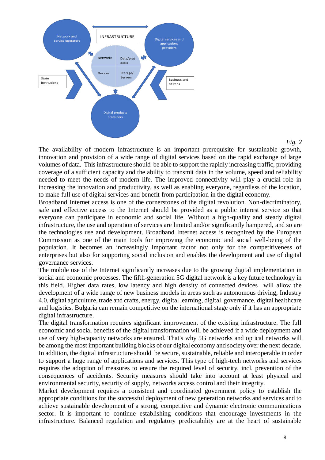

*Fig. 2*

The availability of modern infrastructure is an important prerequisite for sustainable growth, innovation and provision of a wide range of digital services based on the rapid exchange of large volumes of data. This infrastructure should be able to support the rapidly increasing traffic, providing coverage of a sufficient capacity and the ability to transmit data in the volume, speed and reliability needed to meet the needs of modern life. The improved connectivity will play a crucial role in increasing the innovation and productivity, as well as enabling everyone, regardless of the location, to make full use of digital services and benefit from participation in the digital economy.

Broadband Internet access is one of the cornerstones of the digital revolution. Non-discriminatory, safe and effective access to the Internet should be provided as a public interest service so that everyone can participate in economic and social life. Without a high-quality and steady digital infrastructure, the use and operation of services are limited and/or significantly hampered, and so are the technologies use and development. Broadband Internet access is recognized by the European Commission as one of the main tools for improving the economic and social well-being of the population. It becomes an increasingly important factor not only for the competitiveness of enterprises but also for supporting social inclusion and enables the development and use of digital governance services.

The mobile use of the Internet significantly increases due to the growing digital implementation in social and economic processes. The fifth-generation 5G digital network is a key future technology in this field. Higher data rates, low latency and high density of connected devices will allow the development of a wide range of new business models in areas such as autonomous driving, Industry 4.0, digital agriculture, trade and crafts, energy, digital learning, digital governance, digital healthcare and logistics. Bulgaria can remain competitive on the international stage only if it has an appropriate digital infrastructure.

The digital transformation requires significant improvement of the existing infrastructure. The full economic and social benefits of the digital transformation will be achieved if a wide deployment and use of very high-capacity networks are ensured. That's why 5G networks and optical networks will be among the most important building blocks of our digital economy and society over the next decade. In addition, the digital infrastructure should be secure, sustainable, reliable and interoperable in order to support a huge range of applications and services. This type of high-tech networks and services requires the adoption of measures to ensure the required level of security, incl. prevention of the consequences of accidents. Security measures should take into account at least physical and environmental security, security of supply, networks access control and their integrity.

Market development requires a consistent and coordinated government policy to establish the appropriate conditions for the successful deployment of new generation networks and services and to achieve sustainable development of a strong, competitive and dynamic electronic communications sector. It is important to continue establishing conditions that encourage investments in the infrastructure. Balanced regulation and regulatory predictability are at the heart of sustainable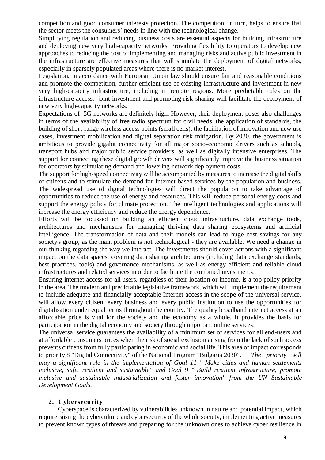competition and good consumer interests protection. The competition, in turn, helps to ensure that the sector meets the consumers' needs in line with the technological change.

Simplifying regulation and reducing business costs are essential aspects for building infrastructure and deploying new very high-capacity networks. Providing flexibility to operators to develop new approaches to reducing the cost of implementing and managing risks and active public investment in the infrastructure are effective measures that will stimulate the deployment of digital networks, especially in sparsely populated areas where there is no market interest.

Legislation, in accordance with European Union law should ensure fair and reasonable conditions and promote the competition, further efficient use of existing infrastructure and investment in new very high-capacity infrastructure, including in remote regions. More predictable rules on the infrastructure access, joint investment and promoting risk-sharing will facilitate the deployment of new very high-capacity networks.

Expectations of 5G networks are definitely high. However, their deployment poses also challenges in terms of the availability of free radio spectrum for civil needs, the application of standards, the building of short-range wireless access points (small cells), the facilitation of innovation and new use cases, investment mobilization and digital separation risk mitigation. By 2030, the government is ambitious to provide gigabit connectivity for all major socio-economic drivers such as schools, transport hubs and major public service providers, as well as digitally intensive enterprises. The support for connecting these digital growth drivers will significantly improve the business situation for operators by stimulating demand and lowering network deployment costs.

The support for high-speed connectivity will be accompanied by measures to increase the digital skills of citizens and to stimulate the demand for Internet-based services by the population and business. The widespread use of digital technologies will direct the population to take advantage of opportunities to reduce the use of energy and resources. This will reduce personal energy costs and support the energy policy for climate protection. The intelligent technologies and applications will increase the energy efficiency and reduce the energy dependence.

Efforts will be focussed on building an efficient cloud infrastructure, data exchange tools, architectures and mechanisms for managing thriving data sharing ecosystems and artificial intelligence. The transformation of data and their models can lead to huge cost savings for any society's group, as the main problem is not technological - they are available. We need a change in our thinking regarding the way we interact. The investments should cover actions with a significant impact on the data spaces, covering data sharing architectures (including data exchange standards, best practices, tools) and governance mechanisms, as well as energy-efficient and reliable cloud infrastructures and related services in order to facilitate the combined investments.

Ensuring internet access for all users, regardless of their location or income, is a top policy priority in the area. The modern and predictable legislative framework, which will implement the requirement to include adequate and financially acceptable Internet access in the scope of the universal service, will allow every citizen, every business and every public institution to use the opportunities for digitalisation under equal terms throughout the country. The quality broadband internet access at an affordable price is vital for the society and the economy as a whole. It provides the basis for participation in the digital economy and society through important online services.

The universal service guarantees the availability of a minimum set of services for all end-users and at affordable consumers prices when the risk of social exclusion arising from the lack of such access prevents citizens from fully participating in economic and social life. This area of impact corresponds to priority 8 "Digital Connectivity" of the National Program "Bulgaria 2030". *The priority will play a significant role in the implementation of Goal 11 " Make cities and human settlements inclusive, safe, resilient and sustainable" and Goal 9 " Build resilient infrastructure, promote inclusive and sustainable industrialization and foster innovation" from the UN Sustainable Development Goals.*

## **2. Cybersecurity**

<span id="page-8-0"></span>Cyberspace is characterized by vulnerabilities unknown in nature and potential impact, which require raising the cyberculture and cybersecurity of the whole society, implementing active measures to prevent known types of threats and preparing for the unknown ones to achieve cyber resilience in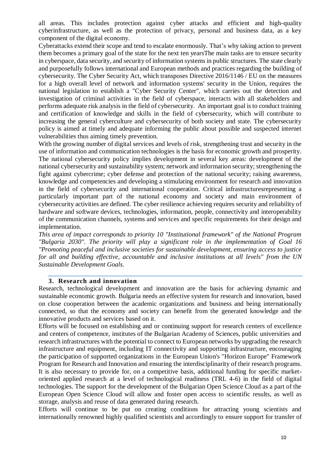all areas. This includes protection against cyber attacks and efficient and high-quality cyberinfrastructure, as well as the protection of privacy, personal and business data, as a key component of the digital economy.

Cyberattacks extend their scope and tend to escalate enormously. That's why taking action to prevent them becomes a primary goal of the state for the next ten yearsThe main tasks are to ensure security in cyberspace, data security, and security of information systems in public structures. The state clearly and purposefully follows international and European methods and practices regarding the building of cybersecurity. The Cyber Security Act, which transposes Directive 2016/1146 / EU on the measures for a high overall level of network and information systems' security in the Union, requires the national legislation to establish a "Cyber Security Center", which carries out the detection and investigation of criminal activities in the field of cyberspace, interacts with all stakeholders and performs adequate risk analysis in the field of cybersecurity. An important goal is to conduct training and certification of knowledge and skills in the field of cybersecurity, which will contribute to increasing the general cyberculture and cybersecurity of both society and state. The cybersecurity policy is aimed at timely and adequate informing the public about possible and suspected internet vulnerabilities thus aiming timely prevention.

With the growing number of digital services and levels of risk, strengthening trust and security in the use of information and communication technologies is the basis for economic growth and prosperity. The national cybersecurity policy implies development in several key areas: development of the national cybersecurity and sustainability system; network and information security; strengthening the fight against cybercrime; cyber defense and protection of the national security; raising awareness, knowledge and competencies and developing a stimulating environment for research and innovation in the field of cybersecurity and international cooperation. Critical infrastructuresrepresenting a particularly important part of the national economy and society and main environment of cybersecurity activities are defined. The cyber resilience achieving requires security and reliability of hardware and software devices, technologies, information, people, connectivity and interoperability of the communication channels, systems and services and specific requirements for their design and implementation.

*This area of impact corresponds to priority 10 "Institutional framework" of the National Program "Bulgaria 2030". The priority will play a significant role in the implementation of Goal 16 "Promoting peaceful and inclusive societies for sustainable development, ensuring access to justice for all and building effective, accountable and inclusive institutions at all levels" from the UN Sustainable Development Goals.*

#### **3. Research and innovation**

<span id="page-9-0"></span>Research, technological development and innovation are the basis for achieving dynamic and sustainable economic growth. Bulgaria needs an effective system for research and innovation, based on close cooperation between the academic organizations and business and being internationally connected, so that the economy and society can benefit from the generated knowledge and the innovative products and services based on it.

Efforts will be focused on establishing and or continuing support for research centers of excellence and centers of competence, institutes of the Bulgarian Academy of Sciences, public universities and research infrastructures with the potential to connect to European networks by upgrading the research infrastructure and equipment, including IT connectivity and supporting infrastructure, encouraging the participation of supported organizations in the European Union's "Horizon Europe" Framework Program for Research and Innovation and ensuring the interdisciplinarity of their research programs. It is also necessary to provide for, on a competitive basis, additional funding for specific marketoriented applied research at a level of technological readiness (TRL 4-6) in the field of digital technologies. The support for the development of the Bulgarian Open Science Cloud as a part of the European Open Science Cloud will allow and foster open access to scientific results, as well as storage, analysis and reuse of data generated during research.

Efforts will continue to be put on creating conditions for attracting young scientists and internationally renowned highly qualified scientists and accordingly to ensure support for transfer of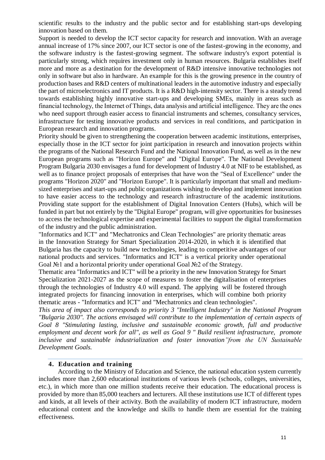scientific results to the industry and the public sector and for establishing start-ups developing innovation based on them.

Support is needed to develop the ICT sector capacity for research and innovation. With an average annual increase of 17% since 2007, our ICT sector is one of the fastest-growing in the economy, and the software industry is the fastest-growing segment. The software industry's export potential is particularly strong, which requires investment only in human resources. Bulgaria establishes itself more and more as a destination for the development of R&D intensive innovative technologies not only in software but also in hardware. An example for this is the growing presence in the country of production bases and R&D centers of multinational leaders in the automotive industry and especially the part of microelectronics and IT products. It is a R&D high-intensity sector. There is a steady trend towards establishing highly innovative start-ups and developing SMEs, mainly in areas such as financial technology, the Internet of Things, data analysis and artificial intelligence. Тhey are the ones who need support through easier access to financial instruments and schemes, consultancy services, infrastructure for testing innovative products and services in real conditions, and participation in European research and innovation programs.

Priority should be given to strengthening the cooperation between academic institutions, enterprises, especially those in the ICT sector for joint participation in research and innovation projects within the programs of the National Research Fund and the National Innovation Fund, as well as in the new European programs such as "Horizon Europe" and "Digital Europe". The National Development Program Bulgaria 2030 envisages a fund for development of Industry 4.0 at NIF to be established, as well as to finance project proposals of enterprises that have won the "Seal of Excellence" under the programs "Horizon 2020" and "Horizon Europe". It is particularly important that small and mediumsized enterprises and start-ups and public organizations wishing to develop and implement innovation to have easier access to the technology and research infrastructure of the academic institutions. Providing state support for the establishment of Digital Innovation Centers (Hubs), which will be funded in part but not entirely by the "Digital Europe" program, will give opportunities for businesses to access the technological expertise and experimental facilities to support the digital transformation of the industry and the public administration.

"Informatics and ICT" and "Mechatronics and Clean Technologies" are priority thematic areas in the Innovation Strategy for Smart Specialization 2014-2020, in which it is identified that Bulgaria has the capacity to build new technologies, leading to competitive advantages of our national products and services. "Informatics and ICT" is a vertical priority under operational Goal №1 and a horizontal priority under operational Goal №2 of the Strategy.

Thematic area "Informatics and ICT" will be a priority in the new Innovation Strategy for Smart Specialization 2021-2027 as the scope of measures to foster the digitalisation of enterprises through the technologies of Industry 4.0 will expand. The applying will be fostered through integrated projects for financing innovation in enterprises, which will combine both priority thematic areas - "Informatics and ICT" and "Mechatronics and clean technologies".

*This area of impact also corresponds to priority 3 "Intelligent Industry" in the National Program "Bulgaria 2030". The actions envisaged will contribute to the implementation of certain aspects of Goal 8 "Stimulating lasting, inclusive and sustainable economic growth, full and productive employment and decent work for all", as well as Goal 9 " Build resilient infrastructure, promote inclusive and sustainable industrialization and foster innovation"from the UN Sustainable Development Goals.*

#### **4. Education and training**

<span id="page-10-0"></span>According to the Ministry of Education and Science, the national education system currently includes more than 2,600 educational institutions of various levels (schools, colleges, universities, etc.), in which more than one million students receive their education. The educational process is provided by more than 85,000 teachers and lecturers. All these institutions use ICT of different types and kinds, at all levels of their activity. Both the availability of modern ICT infrastructure, modern educational content and the knowledge and skills to handle them are essential for the training effectiveness.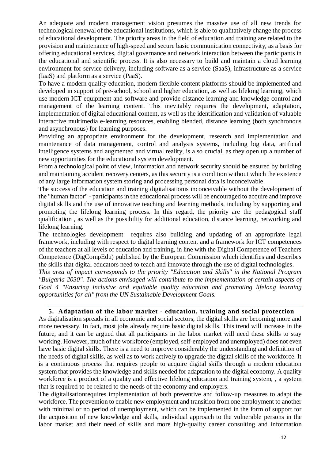An adequate and modern management vision presumes the massive use of all new trends for technological renewal of the educational institutions, which is able to qualitatively change the process of educational development. The priority areas in the field of education and training are related to the provision and maintenance of high-speed and secure basic communication connectivity, as a basis for offering educational services, digital governance and network interaction between the participants in the educational and scientific process. It is also necessary to build and maintain a cloud learning environment for service delivery, including software as a service (SaaS), infrastructure as a service (IaaS) and platform as a service (PaaS).

To have a modern quality education, modern flexible content platforms should be implemented and developed in support of pre-school, school and higher education, as well as lifelong learning, which use modern ICT equipment and software and provide distance learning and knowledge control and management of the learning content. This inevitably requires the development, adaptation, implementation of digital educational content, as well as the identification and validation of valuable interactive multimedia e-learning resources, enabling blended, distance learning (both synchronous and asynchronous) for learning purposes.

Providing an appropriate environment for the development, research and implementation and maintenance of data management, control and analysis systems, including big data, artificial intelligence systems and augmented and virtual reality, is also crucial, as they open up a number of new opportunities for the educational system development.

From a technological point of view, information and network security should be ensured by building and maintaining accident recovery centers, as this security is a condition without which the existence of any large information system storing and processing personal data is inconceivable.

The success of the education and training digitalisationis inconceivable without the development of the "human factor" - participants in the educational process will be encouraged to acquire and improve digital skills and the use of innovative teaching and learning methods, including by supporting and promoting the lifelong learning process. In this regard, the priority are the pedagogical staff qualification , as well as the possibility for additional education, distance learning, networking and lifelong learning.

The technologies development requires also building and updating of an appropriate legal framework, including with respect to digital learning content and a framework for ICT competences of the teachers at all levels of education and training, in line with the Digital Competence of Teachers Competence (DigCompEdu) published by the European Commission which identifies and describes the skills that digital educators need to teach and innovate through the use of digital technologies.

*This area of impact corresponds to the priority "Education and Skills" in the National Program "Bulgaria 2030". The actions envisaged will contribute to the implementation of certain aspects of Goal 4 "Ensuring inclusive and equitable quality education and promoting lifelong learning opportunities for all" from the UN Sustainable Development Goals.*

## **5. Adaptation of the labor market - education, training and social protection**

<span id="page-11-0"></span>As digitalisation spreads in all economic and social sectors, the digital skills are becoming more and more necessary. In fact, most jobs already require basic digital skills. This trend will increase in the future, and it can be argued that all participants in the labor market will need these skills to stay working. However, much of the workforce (employed, self-employed and unemployed) does not even have basic digital skills. There is a need to improve considerably the understanding and definition of the needs of digital skills, as well as to work actively to upgrade the digital skills of the workforce. It is a continuous process that requires people to acquire digital skills through a modern education system that provides the knowledge and skills needed for adaptation to the digital economy. A quality workforce is a product of a quality and effective lifelong education and training system, , a system that is required to be related to the needs of the economy and employers.

The digitalisationrequires implementation of both preventive and follow-up measures to adapt the workforce. The prevention to enable new employment and transition from one employment to another with minimal or no period of unemployment, which can be implemented in the form of support for the acquisition of new knowledge and skills, individual approach to the vulnerable persons in the labor market and their need of skills and more high-quality career consulting and information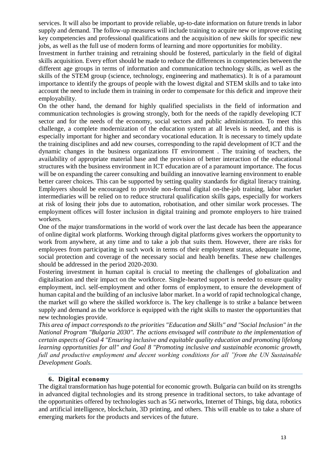services. It will also be important to provide reliable, up-to-date information on future trends in labor supply and demand. The follow-up measures will include training to acquire new or improve existing key competencies and professional qualifications and the acquisition of new skills for specific new jobs, as well as the full use of modern forms of learning and more opportunities for mobility.

Investment in further training and retraining should be fostered, particularly in the field of digital skills acquisition. Every effort should be made to reduce the differences in competencies between the different age groups in terms of information and communication technology skills, as well as the skills of the STEM group (science, technology, engineering and mathematics). It is of a paramount importance to identify the groups of people with the lowest digital and STEM skills and to take into account the need to include them in training in order to compensate for this deficit and improve their employability.

On the other hand, the demand for highly qualified specialists in the field of information and communication technologies is growing strongly, both for the needs of the rapidly developing ICT sector and for the needs of the economy, social sectors and public administration. To meet this challenge, a complete modernization of the education system at all levels is needed, and this is especially important for higher and secondary vocational education. It is necessary to timely update the training disciplines and add new courses, corresponding to the rapid development of ICT and the dynamic changes in the business organizations IT environment . The training of teachers, the availability of appropriate material base and the provision of better interaction of the educational structures with the business environment in ICT education are of a paramount importance. The focus will be on expanding the career consulting and building an innovative learning environment to enable better career choices. This can be supported by setting quality standards for digital literacy training. Employers should be encouraged to provide non-formal digital on-the-job training, labor market intermediaries will be relied on to reduce structural qualification skills gaps, especially for workers at risk of losing their jobs due to automation, robotisation, and other similar work processes. The employment offices will foster inclusion in digital training and promote employers to hire trained workers.

One of the major transformations in the world of work over the last decade has been the appearance of online digital work platforms. Working through digital platforms gives workers the opportunity to work from anywhere, at any time and to take a job that suits them. However, there are risks for employees from participating in such work in terms of their employment status, adequate income, social protection and coverage of the necessary social and health benefits. These new challenges should be addressed in the period 2020-2030.

Fostering investment in human capital is crucial to meeting the challenges of globalization and digitalisation and their impact on the workforce. Single-hearted support is needed to ensure quality employment, incl. self-employment and other forms of employment, to ensure the development of human capital and the building of an inclusive labor market. In a world of rapid technological change, the market will go where the skilled workforce is. The key challenge is to strike a balance between supply and demand as the workforce is equipped with the right skills to master the opportunities that new technologies provide.

*This area of impact corresponds to the priorities "Education and Skills" and "Social Inclusion" in the National Program "Bulgaria 2030". The actions envisaged will contribute to the implementation of certain aspects of Goal 4 "Ensuring inclusive and equitable quality education and promoting lifelong learning opportunities for all" and Goal 8 "Promoting inclusive and sustainable economic growth, full and productive employment and decent working conditions for all "from the UN Sustainable Development Goals.*

## **6. Digital economy**

<span id="page-12-0"></span>The digital transformation has huge potential for economic growth. Bulgaria can build on its strengths in advanced digital technologies and its strong presence in traditional sectors, to take advantage of the opportunities offered by technologies such as 5G networks, Internet of Things, big data, robotics and artificial intelligence, blockchain, 3D printing, and others. This will enable us to take a share of emerging markets for the products and services of the future.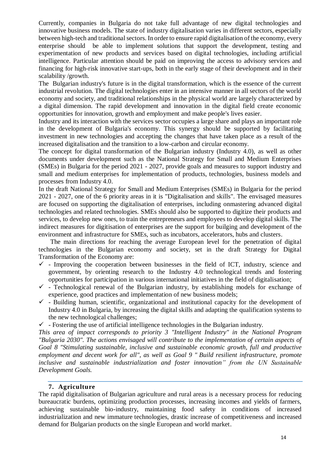Currently, companies in Bulgaria do not take full advantage of new digital technologies and innovative business models. The state of industry digitalisation varies in different sectors, especially between high-tech and traditional sectors. In order to ensure rapid digitalisation of the economy, every enterprise should be able to implement solutions that support the development, testing and experimentation of new products and services based on digital technologies, including artificial intelligence. Particular attention should be paid on improving the access to advisory services and financing for high-risk innovative start-ups, both in the early stage of their development and in their scalability /growth.

The Bulgarian industry's future is in the digital transformation, which is the essence of the current industrial revolution. The digital technologies enter in an intensive manner in all sectors of the world economy and society, and traditional relationships in the physical world are largely characterized by a digital dimension. The rapid development and innovation in the digital field create economic opportunities for innovation, growth and employment and make people's lives easier.

Industry and its interaction with the services sector occupies a large share and plays an important role in the development of Bulgaria's economy. This synergy should be supported by facilitating investment in new technologies and accepting the changes that have taken place as a result of the increased digitalisation and the transition to a low-carbon and circular economy.

The concept for digital transformation of the Bulgarian industry (Industry 4.0), as well as other documents under development such as the National Strategy for Small and Medium Enterprises (SMEs) in Bulgaria for the period 2021 - 2027, provide goals and measures to support industry and small and medium enterprises for implementation of products, technologies, business models and processes from Industry 4.0.

In the draft National Strategy for Small and Medium Enterprises (SMEs) in Bulgaria for the period 2021 - 2027, one of the 6 priority areas in it is "Digitalisation and skills". The envisaged measures are focused on supporting the digitalisation of enterprises, including onmastering advanced digital technologies and related technologies. SMEs should also be supported to digitize their products and services, to develop new ones, to train the entrepreneurs and employees to develop digital skills. The indirect measures for digitisation of enterprises are the support for builging and development of the environment and infrastructure for SMEs, such as incubators, accelerators, hubs and clusters.

The main directions for reaching the average European level for the penetration of digital technologies in the Bulgarian economy and society, set in the draft Strategy for Digital Transformation of the Economy are:

- $\checkmark$  Improving the cooperation between businesses in the field of ICT, industry, science and government, by orienting research to the Industry 4.0 technological trends and fostering opportunities for participation in various international initiatives in the field of digitalisation;
- $\checkmark$  Technological renewal of the Bulgarian industry, by establishing models for exchange of experience, good practices and implementation of new business models;
- $\checkmark$  Building human, scientific, organizational and institutional capacity for the development of Industry 4.0 in Bulgaria, by increasing the digital skills and adapting the qualification systems to the new technological challenges;
- $\checkmark$  Fostering the use of artificial intelligence technologies in the Bulgarian industry.

*This area of impact corresponds to priority 3 "Intelligent Industry" in the National Program "Bulgaria 2030". The actions envisaged will contribute to the implementation of certain aspects of Goal 8 "Stimulating sustainable, inclusive and sustainable economic growth, full and productive employment and decent work for all", as well as Goal 9 " Build resilient infrastructure, promote inclusive and sustainable industrialization and foster innovation" from the UN Sustainable Development Goals.*

## **7. Agriculture**

<span id="page-13-0"></span>The rapid digitalisation of Bulgarian agriculture and rural areas is a necessary process for reducing bureaucratic burdens, optimizing production processes, increasing incomes and yields of farmers, achieving sustainable bio-industry, maintaining food safety in conditions of increased industrialization and new immature technologies, drastic increase of competitiveness and increased demand for Bulgarian products on the single European and world market.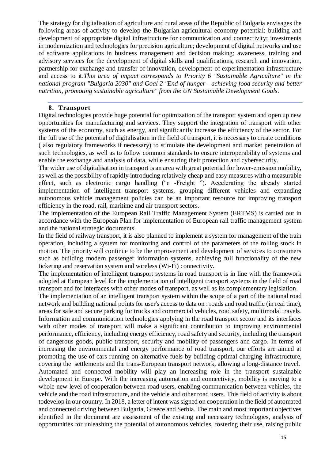The strategy for digitalisation of agriculture and rural areas of the Republic of Bulgaria envisages the following areas of activity to develop the Bulgarian agricultural economy potential: building and development of appropriate digital infrastructure for communication and connectivity; investments in modernization and technologies for precision agriculture; development of digital networks and use of software applications in business management and decision making; awareness, training and advisory services for the development of digital skills and qualifications, research and innovation, partnership for exchange and transfer of innovation, development of experimentation infrastructure and access to it.*This area of impact corresponds to Priority 6 "Sustainable Agriculture" in the national program "Bulgaria 2030" and Goal 2 "End of hunger - achieving food security and better nutrition, promoting sustainable agriculture" from the UN Sustainable Development Goals.*

#### **8. Transport**

<span id="page-14-0"></span>Digital technologies provide huge potential for optimization of the transport system and open up new opportunities for manufacturing and services. They support the integration of transport with other systems of the economy, such as energy, and significantly increase the efficiency of the sector. For the full use of the potential of digitalisation in the field of transport, it is necessary to create conditions ( also regulatory frameworks if necessary) to stimulate the development and market penetration of such technologies, as well as to follow common standards to ensure interoperability of systems and enable the exchange and analysis of data, while ensuring their protection and cybersecurity.

The wider use of digitalisation in transport is an area with great potential for lower-emission mobility, as well as the possibility of rapidly introducing relatively cheap and easy measures with a measurable effect, such as electronic cargo handling ("e -Freight "). Accelerating the already started implementation of intelligent transport systems, grouping different vehicles and expanding autonomous vehicle management policies can be an important resource for improving transport efficiency in the road, rail, maritime and air transport sectors.

The implementation of the European Rail Traffic Management System (ERTMS) is carried out in accordance with the European Plan for implementation of European rail traffic management system and the national strategic documents.

In the field of railway transport, it is also planned to implement a system for management of the train operation, including a system for monitoring and control of the parameters of the rolling stock in motion. The priority will continue to be the improvement and development of services to consumers such as building modern passenger information systems, achieving full functionality of the new ticketing and reservation system and wireless (Wi-Fi) connectivity.

The implementation of intelligent transport systems in road transport is in line with the framework adopted at European level for the implementation of intelligent transport systems in the field of road transport and for interfaces with other modes of transport, as well as its complementary legislation.

The implementation of an intelligent transport system within the scope of a part of the national road network and building national points for user's access to data on : roads and road traffic (in real time), areas for safe and secure parking for trucks and commercial vehicles, road safety, multimodal travels. Information and communication technologies applying in the road transport sector and its interfaces with other modes of transport will make a significant contribution to improving environmental performance, efficiency, including energy efficiency, road safety and security, including the transport of dangerous goods, public transport, security and mobility of passengers and cargo. In terms of increasing the environmental and energy performance of road transport, our efforts are aimed at promoting the use of cars running on alternative fuels by building optimal charging infrastructure, covering the settlements and the trans-European transport network, allowing a long-distance travel. Automated and connected mobility will play an increasing role in the transport sustainable development in Europe. With the increasing automation and connectivity, mobility is moving to a whole new level of cooperation between road users, enabling communication between vehicles, the vehicle and the road infrastructure, and the vehicle and other road users. This field of activity is about todevelop in our country. In 2018, a letter of intent was signed on cooperation in the field of automated and connected driving between Bulgaria, Greece and Serbia. The main and most important objectives identified in the document are assessment of the existing and necessary technologies, analysis of opportunities for unleashing the potential of autonomous vehicles, fostering their use, raising public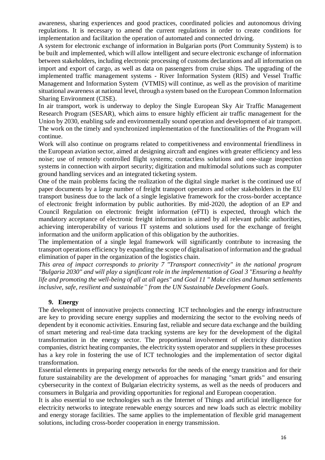awareness, sharing experiences and good practices, coordinated policies and autonomous driving regulations. It is necessary to amend the current regulations in order to create conditions for implementation and facilitation the operation of automated and connected driving.

A system for electronic exchange of information in Bulgarian ports (Port Community System) is to be built and implemented, which will allow intelligent and secure electronic exchange of information between stakeholders, including electronic processing of customs declarations and all information on import and export of cargo, as well as data on passengers from cruise ships. The upgrading of the implemented traffic management systems - River Information System (RIS) and Vessel Traffic Management and Information System (VTMIS) will continue, as well as the provision of maritime situational awareness at national level, through a system based on the European Common Information Sharing Environment (CISE).

In air transport, work is underway to deploy the Single European Sky Air Traffic Management Research Program (SESAR), which aims to ensure highly efficient air traffic management for the Union by 2030, enabling safe and environmentally sound operation and development of air transport. The work on the timely and synchronized implementation of the functionalities of the Program will continue.

Work will also continue on programs related to competitiveness and environmental friendliness in the European aviation sector, aimed at designing aircraft and engines with greater efficiency and less noise; use of remotely controlled flight systems; contactless solutions and one-stage inspection systems in connection with airport security; digitization and multimodal solutions such as computer ground handling services and an integrated ticketing system.

One of the main problems facing the realization of the digital single market is the continued use of paper documents by a large number of freight transport operators and other stakeholders in the EU transport business due to the lack of a single legislative framework for the cross-border acceptance of electronic freight information by public authorities. By mid-2020, the adoption of an EP and Council Regulation on electronic freight information (eFTI) is expected, through which the mandatory acceptance of electronic freight information is aimed by all relevant public authorities, achieving interoperability of various IT systems and solutions used for the exchange of freight information and the uniform application of this obligation by the authorities.

The implementation of a single legal framework will significantly contribute to increasing the transport operations efficiency by expanding the scope of digitalisation of information and the gradual elimination of paper in the organization of the logistics chain.

*This area of impact corresponds to priority 7 "Transport connectivity" in the national program "Bulgaria 2030" and will play a significant role in the implementation of Goal 3 "Ensuring a healthy life and promoting the well-being of all at all ages" and Goal 11 " Make cities and human settlements inclusive, safe, resilient and sustainable" from the UN Sustainable Development Goals.*

## **9. Energy**

<span id="page-15-0"></span>The development of innovative projects connecting ICT technologies and the energy infrastructure are key to providing secure energy supplies and modernizing the sector to the evolving needs of dependent by it economic activities. Ensuring fast, reliable and secure data exchange and the building of smart metering and real-time data tracking systems are key for the development of the digital transformation in the energy sector. The proportional involvement of electricity distribution companies, district heating companies, the electricity system operator and suppliers in these processes has a key role in fostering the use of ICT technologies and the implementation of sector digital transformation.

Essential elements in preparing energy networks for the needs of the energy transition and for their future sustainability are the development of approaches for managing "smart grids" and ensuring cybersecurity in the context of Bulgarian electricity systems, as well as the needs of producers and consumers in Bulgaria and providing opportunities for regional and European cooperation.

It is also essential to use technologies such as the Internet of Things and artificial intelligence for electricity networks to integrate renewable energy sources and new loads such as electric mobility and energy storage facilities. The same applies to the implementation of flexible grid management solutions, including cross-border cooperation in energy transmission.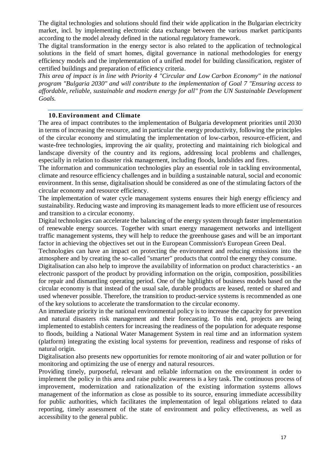The digital technologies and solutions should find their wide application in the Bulgarian electricity market, incl. by implementing electronic data exchange between the various market participants according to the model already defined in the national regulatory framework.

The digital transformation in the energy sector is also related to the application of technological solutions in the field of smart homes, digital governance in national methodologies for energy efficiency models and the implementation of a unified model for building classification, register of certified buildings and preparation of efficiency criteria.

*This area of impact is in line with Priority 4 "Circular and Low Carbon Economy" in the national program "Bulgaria 2030" and will contribute to the implementation of Goal 7 "Ensuring access to affordable, reliable, sustainable and modern energy for all" from the UN Sustainable Development Goals.*

#### **10.Environment and Climate**

<span id="page-16-0"></span>The area of impact contributes to the implementation of Bulgaria development priorities until 2030 in terms of increasing the resource, and in particular the energy productivity, following the principles of the circular economy and stimulating the implementation of low-carbon, resource-efficient, and waste-free technologies, improving the air quality, protecting and maintaining rich biological and landscape diversity of the country and its regions, addressing local problems and challenges, especially in relation to disaster risk management, including floods, landslides and fires.

The information and communication technologies play an essential role in tackling environmental, climate and resource efficiency challenges and in building a sustainable natural, social and economic environment. In this sense, digitalisation should be considered as one of the stimulating factors of the circular economy and resource efficiency.

The implementation of water cycle management systems ensures their high energy efficiency and sustainability. Reducing waste and improving its management leads to more efficient use of resources and transition to a circular economy.

Digital technologies can accelerate the balancing of the energy system through faster implementation of renewable energy sources. Together with smart energy management networks and intelligent traffic management systems, they will help to reduce the greenhouse gases and will be an important factor in achieving the objectives set out in the European Commission's European Green Deal.

Technologies can have an impact on protecting the environment and reducing emissions into the atmosphere and by creating the so-called "smarter" products that control the energy they consume.

Digitalisation can also help to improve the availability of information on product characteristics - an electronic passport of the product by providing information on the origin, composition, possibilities for repair and dismantling operating period. One of the highlights of business models based on the circular economy is that instead of the usual sale, durable products are leased, rented or shared and used whenever possible. Therefore, the transition to product-service systems is recommended as one of the key solutions to accelerate the transformation to the circular economy.

An immediate priority in the national environmental policy is to increase the capacity for prevention and natural disasters risk management and their forecasting. To this end, projects are being implemented to establish centers for increasing the readiness of the population for adequate response to floods, building a National Water Management System in real time and an information system (platform) integrating the existing local systems for prevention, readiness and response of risks of natural origin.

Digitalisation also presents new opportunities for remote monitoring of air and water pollution or for monitoring and optimizing the use of energy and natural resources.

Providing timely, purposeful, relevant and reliable information on the environment in order to implement the policy in this area and raise public awareness is a key task. The continuous process of improvement, modernization and rationalization of the existing information systems allows management of the information as close as possible to its source, ensuring immediate accessibility for public authorities, which facilitates the implementation of legal obligations related to data reporting, timely assessment of the state of environment and policy effectiveness, as well as accessibility to the general public.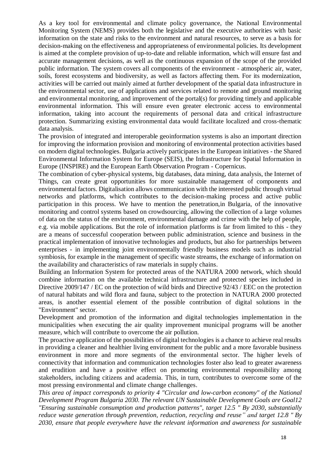As a key tool for environmental and climate policy governance, the National Environmental Monitoring System (NEMS) provides both the legislative and the executive authorities with basic information on the state and risks to the environment and natural resources, to serve as a basis for decision-making on the effectiveness and appropriateness of environmental policies. Its development is aimed at the complete provision of up-to-date and reliable information, which will ensure fast and accurate management decisions, as well as the continuous expansion of the scope of the provided public information. The system covers all components of the environment - atmospheric air, water, soils, forest ecosystems and biodiversity, as well as factors affecting them. For its modernization, activities will be carried out mainly aimed at further development of the spatial data infrastructure in the environmental sector, use of applications and services related to remote and ground monitoring and environmental monitoring, and improvement of the portal(s) for providing timely and applicable environmental information. This will ensure even greater electronic access to environmental information, taking into account the requirements of personal data and critical infrastructure protection. Summarizing existing environmental data would facilitate localized and cross-thematic data analysis.

The provision of integrated and interoperable geoinformation systems is also an important direction for improving the information provision and monitoring of environmental protection activities based on modern digital technologies. Bulgaria actively participates in the European initiatives - the Shared Environmental Information System for Europe (SEIS), the Infrastructure for Spatial Information in Europe (INSPIRE) and the European Earth Observation Program - Copernicus.

The combination of cyber-physical systems, big databases, data mining, data analysis, the Internet of Things, can create great opportunities for more sustainable management of components and environmental factors. Digitalisation allows communication with the interested public through virtual networks and platforms, which contributes to the decision-making process and active public participation in this process. We have to mention the penetration,in Bulgaria, of the innovative monitoring and control systems based on crowdsourcing, allowing the collection of a large volumes of data on the status of the environment, environmental damage and crime with the help of people, e.g. via mobile applications. But the role of information platforms is far from limited to this - they are a means of successful cooperation between public administration, science and business in the practical implementation of innovative technologies and products, but also for partnerships between enterprises - in implementing joint environmentally friendly business models such as industrial symbiosis, for example in the management of specific waste streams, the exchange of information on the availability and characteristics of raw materials in supply chains.

Building an Information System for protected areas of the NATURA 2000 network, which should combine information on the available technical infrastructure and protected species included in Directive 2009/147 / EC on the protection of wild birds and Directive 92/43 / EEC on the protection of natural habitats and wild flora and fauna, subject to the protection in NATURA 2000 protected areas, is another essential element of the possible contribution of digital solutions in the "Environment" sector.

Development and promotion of the information and digital technologies implementation in the municipalities when executing the air quality improvement municipal programs will be another measure, which will contribute to overcome the air pollution.

The proactive application of the possibilities of digital technologies is a chance to achieve real results in providing a cleaner and healthier living environment for the public and a more favorable business environment in more and more segments of the environmental sector. The higher levels of connectivity that information and communication technologies foster also lead to greater awareness and erudition and have a positive effect on promoting environmental responsibility among stakeholders, including citizens and academia. This, in turn, contributes to overcome some of the most pressing environmental and climate change challenges.

*This area of impact corresponds to priority 4 "Circular and low-carbon economy" of the National Development Program Bulgaria 2030. The relevant UN Sustainable Development Goals are Goal12 "Ensuring sustainable consumption and production patterns", target 12.5 " By 2030, substantially reduce waste generation through prevention, reduction, recycling and reuse" and target 12.8 " By 2030, ensure that people everywhere have the relevant information and awareness for sustainable*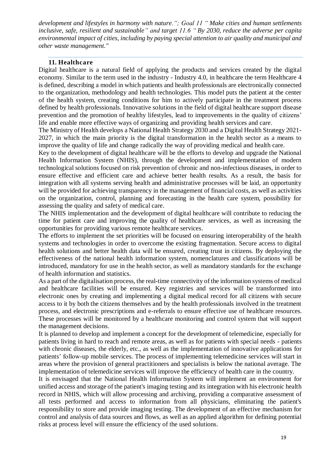*development and lifestyles in harmony with nature."; Goal 11 " Make cities and human settlements inclusive, safe, resilient and sustainable" and target 11.6 " By 2030, reduce the adverse per capita environmental impact of cities, including by paying special attention to air quality and municipal and other waste management."* 

#### **11. Healthcare**

<span id="page-18-0"></span>Digital healthcare is a natural field of applying the products and services created by the digital economy. Similar to the term used in the industry - Industry 4.0, in healthcare the term Healthcare 4 is defined, describing a model in which patients and health professionals are electronically connected to the organization, methodology and health technologies. This model puts the patient at the center of the health system, creating conditions for him to actively participate in the treatment process defined by health professionals. Innovative solutions in the field of digital healthcare support disease prevention and the promotion of healthy lifestyles, lead to improvements in the quality of citizens' life and enable more effective ways of organizing and providing health services and care.

The Ministry of Health develops a National Health Strategy 2030 and a Digital Health Strategy 2021- 2027, in which the main priority is the digital transformation in the health sector as a means to improve the quality of life and change radically the way of providing medical and health care.

Key to the development of digital healthcare will be the efforts to develop and upgrade the National Health Information System (NHIS), through the development and implementation of modern technological solutions focused on risk prevention of chronic and non-infectious diseases, in order to ensure effective and efficient care and achieve better health results. As a result, the basis for integration with all systems serving health and administrative processes will be laid, an opportunity will be provided for achieving transparency in the management of financial costs, as well as activities on the organization, control, planning and forecasting in the health care system, possibility for assessing the quality and safety of medical care.

The NHIS implementation and the development of digital healthcare will contribute to reducing the time for patient care and improving the quality of healthcare services, as well as increasing the opportunities for providing various remote healthcare services.

The efforts to implement the set priorities will be focused on ensuring interoperability of the health systems and technologies in order to overcome the existing fragmentation. Secure access to digital health solutions and better health data will be ensured, creating trust in citizens. By deploying the effectiveness of the national health information system, nomenclatures and classifications will be introduced, mandatory for use in the health sector, as well as mandatory standards for the exchange of health information and statistics.

As a part of the digitalisation process, the real-time connectivity of the information systems of medical and healthcare facilities will be ensured. Key registries and services will be transformed into electronic ones by creating and implementing a digital medical record for all citizens with secure access to it by both the citizens themselves and by the health professionals involved in the treatment process, and electronic prescriptions and e-referrals to ensure effective use of healthcare resources. These processes will be monitored by a healthcare monitoring and control system that will support the management decisions.

It is planned to develop and implement a concept for the development of telemedicine, especially for patients living in hard to reach and remote areas, as well as for patients with special needs - patients with chronic diseases, the elderly, etc., as well as the implementation of innovative applications for patients' follow-up mobile services. The process of implementing telemedicine services will start in areas where the provision of general practitioners and specialists is below the national average. The implementation of telemedicine services will improve the efficiency of health care in the country.

It is envisaged that the National Health Information System will implement an environment for unified access and storage of the patient's imaging testing and its integration with his electronic health record in NHIS, which will allow processing and archiving, providing a comparative assessment of all tests performed and access to information from all physicians, eliminating the patient's responsibility to store and provide imaging testing. The development of an effective mechanism for control and analysis of data sources and flows, as well as an applied algorithm for defining potential risks at process level will ensure the efficiency of the used solutions.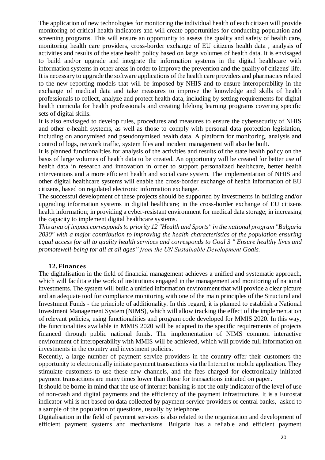The application of new technologies for monitoring the individual health of each citizen will provide monitoring of critical health indicators and will create opportunities for conducting population and screening programs. This will ensure an opportunity to assess the quality and safety of health care, monitoring health care providers, cross-border exchange of EU citizens health data , analysis of activities and results of the state health policy based on large volumes of health data. It is envisaged to build and/or upgrade and integrate the information systems in the digital healthcare with information systems in other areas in order to improve the prevention and the quality of citizens' life. It is necessary to upgrade the software applications of the health care providers and pharmacies related to the new reporting models that will be imposed by NHIS and to ensure interoperability in the exchange of medical data and take measures to improve the knowledge and skills of health professionals to collect, analyze and protect health data, including by setting requirements for digital health curricula for health professionals and creating lifelong learning programs covering specific sets of digital skills.

It is also envisaged to develop rules, procedures and measures to ensure the cybersecurity of NHIS and other e-health systems, as well as those to comply with personal data protection legislation, including on anonymised and pseudonymised health data. A platform for monitoring, analysis and control of logs, network traffic, system files and incident management will also be built.

It is planned functionalities for analysis of the activities and results of the state health policy on the basis of large volumes of health data to be created. An opportunity will be created for better use of health data in research and innovation in order to support personalized healthcare, better health interventions and a more efficient health and social care system. The implementation of NHIS and other digital healthcare systems will enable the cross-border exchange of health information of EU citizens, based on regulated electronic information exchange.

The successful development of these projects should be supported by investments in building and/or upgrading information systems in digital healthcare; in the cross-border exchange of EU citizens health information; in providing a cyber-resistant environment for medical data storage; in increasing the capacity to implement digital healthcare systems.

*This area of impact corresponds to priority 12 "Health and Sports" in the national program "Bulgaria 2030" with a major contribution to improving the health characteristics of the population ensuring equal access for all to quality health services and corresponds to Goal 3 " Ensure healthy lives and promotewell-being for all at all ages" from the UN Sustainable Development Goals.*

#### **12.Finances**

<span id="page-19-0"></span>The digitalisation in the field of financial management achieves a unified and systematic approach, which will facilitate the work of institutions engaged in the management and monitoring of national investments. The system will build a unified information environment that will provide a clear picture and an adequate tool for compliance monitoring with one of the main principles of the Structural and Investment Funds - the principle of additionality. In this regard, it is planned to establish a National Investment Management System (NIMS), which will allow tracking the effect of the implementation of relevant policies, using functionalities and program code developed for MMIS 2020. In this way, the functionalities available in MMIS 2020 will be adapted to the specific requirements of projects financed through public national funds. The implementation of NIMS common interactive environment of interoperability with MMIS will be achieved, which will provide full information on investments in the country and investment policies.

Recently, a large number of payment service providers in the country offer their customers the opportunity to electronically initiate payment transactions via the Internet or mobile application. They stimulate customers to use these new channels, and the fees charged for electronically initiated payment transactions are many times lower than those for transactions initiated on paper.

It should be borne in mind that the use of internet banking is not the only indicator of the level of use of non-cash and digital payments and the efficiency of the payment infrastructure. It is a Eurostat indicator whi is not based on data collected by payment service providers or central banks, asked to a sample of the population of questions, usually by telephone.

Digitalisation in the field of payment services is also related to the organization and development of efficient payment systems and mechanisms. Bulgaria has a reliable and efficient payment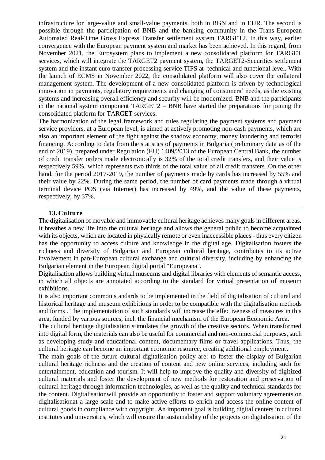infrastructure for large-value and small-value payments, both in BGN and in EUR. The second is possible through the participation of BNB and the banking community in the Trans-European Automated Real-Time Gross Express Transfer settlement system TARGET2. In this way, earlier convergence with the European payment system and market has been achieved. In this regard, from November 2021, the Eurosystem plans to implement a new consolidated platform for TARGET services, which will integrate the TARGET2 payment system, the TARGET2-Securities settlement system and the instant euro transfer processing service TIPS at technical and functional level. With the launch of ECMS in November 2022, the consolidated platform will also cover the collateral management system. The development of a new consolidated platform is driven by technological innovation in payments, regulatory requirements and changing of consumers' needs, as the existing systems and increasing overall efficiency and security will be modernized. BNB and the participants in the national system component TARGET2 – BNB have started the preparations for joining the consolidated platform for TARGET services.

The harmonization of the legal framework and rules regulating the payment systems and payment service providers, at a European level, is aimed at actively promoting non-cash payments, which are also an important element of the fight against the shadow economy, money laundering and terrorist financing. According to data from the statistics of payments in Bulgaria (preliminary data as of the end of 2019), prepared under Regulation (EU) 1409/2013 of the European Central Bank, the number of credit transfer orders made electronically is 32% of the total credit transfers, and their value is respectively 59%, which represents two thirds of the total value of all credit transfers. On the other hand, for the period 2017-2019, the number of payments made by cards has increased by 55% and their value by 22%. During the same period, the number of card payments made through a virtual terminal device POS (via Internet) has increased by 49%, and the value of these payments, respectively, by 37%.

#### **13.Culture**

<span id="page-20-0"></span>The digitalisation of movable and immovable cultural heritage achieves many goals in different areas. It breathes a new life into the cultural heritage and allows the general public to become acquainted with its objects, which are located in physically remote or even inaccessible places - thus every citizen has the opportunity to access culture and knowledge in the digital age. Digitalisation fosters the richness and diversity of Bulgarian and European cultural heritage, contributes to its active involvement in pan-European cultural exchange and cultural diversity, including by enhancing the Bulgarian element in the European digital portal "Europeana".

Digitalisation allows building virtual museums and digital libraries with elements of semantic access, in which all objects are annotated according to the standard for virtual presentation of museum exhibitions.

It is also important common standards to be implemented in the field of digitalisation of cultural and historical heritage and museum exhibitions in order to be compatible with the digitalisation methods and forms . The implementation of such standards will increase the effectiveness of measures in this area, funded by various sources, incl. the financial mechanism of the European Economic Area.

The cultural heritage digitalisation stimulates the growth of the creative sectors. When transformed into digital form, the materials can also be useful for commercial and non-commercial purposes, such as developing study and educational content, documentary films or travel applications. Thus, the cultural heritage can become an important economic resource, creating additional employment.

The main goals of the future cultural digitalisation policy are: to foster the display of Bulgarian cultural heritage richness and the creation of content and new online services, including such for entertainment, education and tourism. It will help to improve the quality and diversity of digitized cultural materials and foster the development of new methods for restoration and preservation of cultural heritage through information technologies, as well as the quality and technical standards for the content. Digitalisationwill provide an opportunity to foster and support voluntary agreements on digitalisationat a large scale and to make active efforts to enrich and access the online content of cultural goods in compliance with copyright. An important goal is building digital centers in cultural institutes and universities, which will ensure the sustainability of the projects on digitalisation of the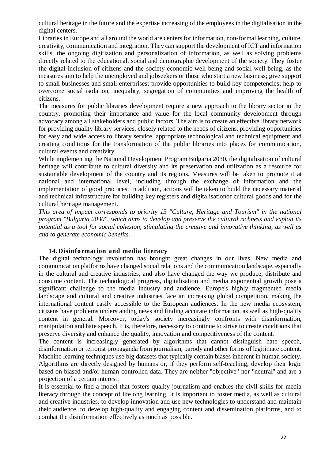cultural heritage in the future and the expertise increasing of the employees in the digitalisation in the digital centers.

Libraries in Europe and all around the world are centers for information, non-formal learning, culture, creativity, communication and integration. They can support the development of ICT and information skills, the ongoing digitization and personalization of information, as well as solving problems directly related to the educational, social and demographic development of the society. They foster the digital inclusion of citizens and the society economic well-being and social well-being, as the measures aim to help the unemployed and jobseekers or those who start a new business; give support to small businesses and small enterprises; provide opportunities to build key competencies; help to overcome social isolation, inequality, segregation of communities and improving the health of citizens.

The measures for public libraries development require a new approach to the library sector in the country, promoting their importance and value for the local community development through advocacy among all stakeholders and public factors. The aim is to create an effective library network for providing quality library services, closely related to the needs of citizens, providing opportunities for easy and wide access to library service, appropriate technological and technical equipment and creating conditions for the transformation of the public libraries into places for communication, cultural events and creativity.

While implementing the National Development Program Bulgaria 2030, the digitalisation of cultural heritage will contribute to cultural diversity and its preservation and utilization as a resource for sustainable development of the country and its regions. Measures will be taken to promote it at national and international level, including through the exchange of information and the implementation of good practices. In addition, actions will be taken to build the necessary material and technical infrastructure for building key registers and digitalisationof cultural goods and for the cultural heritage management.

*This area of impact corresponds to priority 13 "Culture, Heritage and Tourism" in the national program "Bulgaria 2030", which aims to develop and preserve the cultural richness and exploit its potential as a tool for social cohesion, stimulating the creative and innovative thinking, as well as and to generate economic benefits.*

## **14.Disinformation and media literacy**

<span id="page-21-0"></span>The digital technology revolution has brought great changes in our lives. New media and communication platforms have changed social relations and the communication landscape, especially in the cultural and creative industries, and also have changed the way we produce, distribute and consume content. The technological progress, digitalisation and media exponential growth pose a significant challenge to the media industry and audience. Europe's highly fragmented media landscape and cultural and creative industries face an increasing global competition, making the international content easily accessible to the European audiences. In the new media ecosystem, citizens have problems understanding news and finding accurate information, as well as high-quality content in general. Moreover, today's society increasingly confronts with disinformation, manipulation and hate speech. It is, therefore, necessary to continue to strive to create conditions that preserve diversity and enhance the quality, innovation and competitiveness of the content.

The content is increasingly generated by algorithms that cannot distinguish hate speech, disinformation or terrorist propaganda from journalism, parody and other forms of legitimate content. Machine learning techniques use big datasets that typically contain biases inherent in human society. Algorithms are directly designed by humans or, if they perform self-teaching, develop their logic based on biased and/or human-controlled data. They are neither "objective" nor "neutral" and are a projection of a certain interest.

It is essential to find a model that fosters quality journalism and enables the civil skills for media literacy through the concept of lifelong learning. It is important to foster media, as well as cultural and creative industries, to develop innovation and use new technologies to understand and maintain their audience, to develop high-quality and engaging content and dissemination platforms, and to combat the disinformation effectively as much as possible.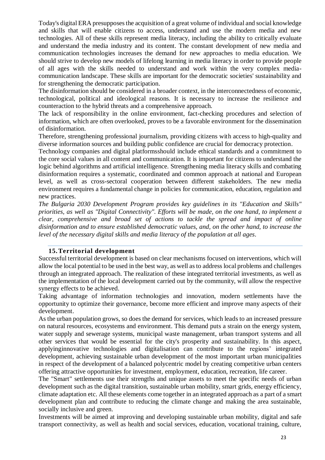Today's digital ERA presupposes the acquisition of a great volume of individual and social knowledge and skills that will enable citizens to access, understand and use the modern media and new technologies. All of these skills represent media literacy, including the ability to critically evaluate and understand the media industry and its content. The constant development of new media and communication technologies increases the demand for new approaches to media education. We should strive to develop new models of lifelong learning in media literacy in order to provide people of all ages with the skills needed to understand and work within the very complex mediacommunication landscape. These skills are important for the democratic societies' sustainability and for strengthening the democratic participation.

The disinformation should be considered in a broader context, in the interconnectedness of economic, technological, political and ideological reasons. It is necessary to increase the resilience and counteraction to the hybrid threats and a comprehensive approach.

The lack of responsibility in the online environment, fact-checking procedures and selection of information, which are often overlooked, proves to be a favorable environment for the dissemination of disinformation.

Therefore, strengthening professional journalism, providing citizens with access to high-quality and diverse information sources and building public confidence are crucial for democracy protection.

Technology companies and digital platformsshould include ethical standards and a commitment to the core social values in all content and communication. It is important for citizens to understand the logic behind algorithms and artificial intelligence. Strengthening media literacy skills and combating disinformation requires a systematic, coordinated and common approach at national and European level, as well as cross-sectoral cooperation between different stakeholders. The new media environment requires a fundamental change in policies for communication, education, regulation and new practices.

*The Bulgaria 2030 Development Program provides key guidelines in its "Education and Skills" priorities, as well as "Digital Connectivity". Efforts will be made, on the one hand, to implement a clear, comprehensive and broad set of actions to tackle the spread and impact of online disinformation and to ensure established democratic values, and, on the other hand, to increase the level of the necessary digital skills and media literacy of the population at all ages.*

## **15.Territorial development**

<span id="page-22-0"></span>Successful territorial development is based on clear mechanisms focused on interventions, which will allow the local potential to be used in the best way, as well as to address local problems and challenges through an integrated approach. The realization of these integrated territorial investments, as well as the implementation of the local development carried out by the community, will allow the respective synergy effects to be achieved.

Taking advantage of information technologies and innovation, modern settlements have the opportunity to optimize their governance, become more efficient and improve many aspects of their development.

As the urban population grows, so does the demand for services, which leads to an increased pressure on natural resources, ecosystems and environment. This demand puts a strain on the energy system, water supply and sewerage systems, municipal waste management, urban transport systems and all other services that would be essential for the city's prosperity and sustainability. In this aspect, applyinginnovative technologies and digitalisation can contribute to the regions' integrated development, achieving sustainable urban development of the most important urban municipalities in respect of the development of a balanced polycentric model by creating competitive urban centers offering attractive opportunities for investment, employment, education, recreation, life career.

The "Smart" settlements use their strengths and unique assets to meet the specific needs of urban development such as the digital transition, sustainable urban mobility, smart grids, energy efficiency, climate adaptation etc. All these elements come together in an integrated approach as a part of a smart development plan and contribute to reducing the climate change and making the area sustainable, socially inclusive and green.

Investments will be aimed at improving and developing sustainable urban mobility, digital and safe transport connectivity, as well as health and social services, education, vocational training, culture,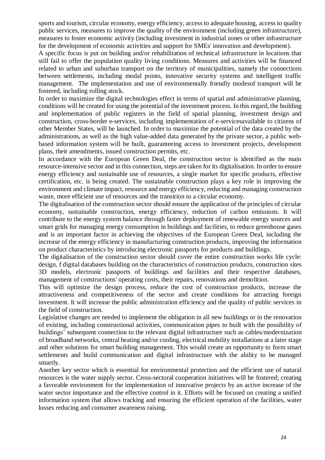sports and tourism, circular economy, energy efficiency, access to adequate housing, access to quality public services, measures to improve the quality of the environment (including green infrastructure), measures to foster economic activity (including investment in industrial zones or other infrastructure for the development of economic activities and support for SMEs' innovation and development).

A specific focus is put on building and/or rehabilitation of technical infrastructure in locations that still fail to offer the population quality living conditions. Measures and activities will be financed related to urban and suburban transport on the territory of municipalities, namely the connections between settlements, including modal points, innovative security systems and intelligent traffic management. The implementation and use of environmentally friendly modesof transport will be fostered, including rolling stock.

In order to maximize the digital technologies effect in terms of spatial and administrative planning, conditions will be created for using the potential of the investment process. In this regard, the building and implementation of public registers in the field of spatial planning, investment design and construction, cross-border e-services, including implementation of e-servicesavailable to citizens of other Member States, will be launched. In order to maximize the potential of the data created by the administrations, as well as the high value-added data generated by the private sector, a public webbased information system will be built, guaranteeing access to investment projects, development plans, their amendments, issued construction permits, etc.

In accordance with the European Green Deal, the construction sector is identified as the main resource-intensive sector and in this connection, steps are taken for its digitalisation. In order to ensure energy efficiency and sustainable use of resources, a single market for specific products, effective certification, etc. is being created. The sustainable construction plays a key role in improving the environment and climate impact, resource and energy efficiency, reducing and managing construction waste, more efficient use of resources and the transition to a circular economy.

The digitalisation of the construction sector should ensure the application of the principles of circular economy, sustainable construction, energy efficiency, reduction of carbon emissions. It will contribute to the energy system balance through faster deployment of renewable energy sources and smart grids for managing energy consumption in buildings and facilities, to reduce greenhouse gases and is an important factor in achieving the objectives of the European Green Deal, including the increase of the energy efficiency in manufacturing construction products, improving the information on product characteristics by introducing electronic passports for products and buildings.

The digitalisation of the construction sector should cover the entire construction works life cycle: design, f digital databases building on the characteristics of construction products, construction sites 3D models, electronic passports of buildings and facilities and their respective databases, management of constructions' operating costs, their repairs, renovations and demolition.

This will optimize the design process, reduce the cost of construction products, increase the attractiveness and competitiveness of the sector and create conditions for attracting foreign investment. It will increase the public administration efficiency and the quality of public services in the field of construction.

Legislative changes are needed to implement the obligation in all new buildings or in the renovation of existing, including constructional activities, communication pipes to built with the possibility of buildings' subsequent connection to the relevant digital infrastructure such as cables/modernization of broadband networks, central heating and/or cooling, electrical mobility installations at a later stage and other solutions for smart building management. This would create an opportunity to form smart settlements and build communication and digital infrastructure with the ability to be managed smartly.

Another key sector which is essential for environmental protection and the efficient use of natural resources is the water supply sector. Cross-sectoral cooperation initiatives will be fostered; creating a favorable environment for the implementation of innovative projects by an active increase of the water sector importance and the effective control in it. Efforts will be focused on creating a unified information system that allows tracking and ensuring the efficient operation of the facilities, water losses reducing and consumer awareness raising.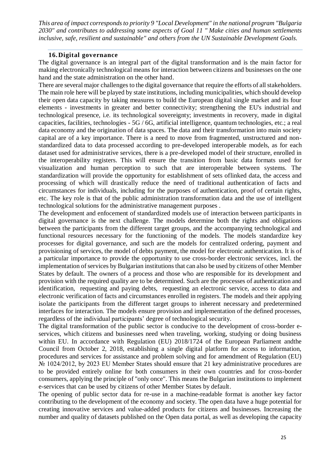*This area of impact corresponds to priority 9 "Local Development" in the national program "Bulgaria 2030" and contributes to addressing some aspects of Goal 11 " Make cities and human settlements inclusive, safe, resilient and sustainable" and others from the UN Sustainable Development Goals.*

#### **16.Digital governance**

<span id="page-24-0"></span>The digital governance is an integral part of the digital transformation and is the main factor for making electronically technological means for interaction between citizens and businesses on the one hand and the state administration on the other hand.

There are several major challenges to the digital governance that require the efforts of all stakeholders. The main role here will be played by state institutions, including municipalities, which should develop their open data capacity by taking measures to build the European digital single market and its four elements - investments in greater and better connectivity; strengthening the EU's industrial and technological presence, i.e. its technological sovereignty; investments in recovery, made in digital capacities, facilities, technologies - 5G / 6G, artificial intelligence, quantum technologies, etc.; a real data economy and the origination of data spaces. The data and their transformation into main society capital are of a key importance. There is a need to move from fragmented, unstructured and nonstandardized data to data processed according to pre-developed interoperable models, as for each dataset used for administrative services, there is a pre-developed model of their structure, enrolled in the interoperability registers. This will ensure the transition from basic data formats used for visualization and human perception to such that are interoperable between systems. The standardization will provide the opportunity for establishment of sets oflinked data, the access and processing of which will drastically reduce the need of traditional authentication of facts and circumstances for individuals, including for the purposes of authentication, proof of certain rights, etc. The key role is that of the public administration transformation data and the use of intelligent technological solutions for the administrative management purposes .

The development and enfocement of standardized models use of interaction between participants in digital governance is the next challenge. The models determine both the rights and obligations between the participants from the different target groups, and the accompanying technological and functional resources necessary for the functioning of the models. The models standardize key processes for digital governance, and such are the models for centralized ordering, payment and provisioning of services, the model of debts payment, the model for electronic authentication. It is of a particular importance to provide the opportunity to use cross-border electronic services, incl. the implementation of services by Bulgarian institutions that can also be used by citizens of other Member States by default. The owners of a process and those who are responsible for its development and provision with the required quality are to be determined. Such are the processes of authentication and identification, requesting and paying debts, requesting an electronic service, access to data and electronic verification of facts and circumstances enrolled in registers. The models and their applying isolate the participants from the different target groups to inherent necessary and predetermined interfaces for interaction. The models ensure provision and implementation of the defined processes, regardless of the individual participants' degree of technological security.

The digital transformation of the public sector is conducive to the development of cross-border eservices, which citizens and businesses need when traveling, working, studying or doing business within EU. In accordance with Regulation (EU) 2018/1724 of the European Parliament andthe Council from October 2, 2018, establishing a single digital platform for access to information, procedures and services for assistance and problem solving and for amendment of Regulation (EU) No 1024/2012, by 2023 EU Member States should ensure that 21 key administrative procedures are to be provided entirely online for both consumers in their own countries and for cross-border consumers, applying the principle of "only once". This means the Bulgarian institutions to implement e-services that can be used by citizens of other Member States by default.

The opening of public sector data for re-use in a machine-readable format is another key factor contributing to the development of the economy and society. The open data have a huge potential for creating innovative services and value-added products for citizens and businesses. Increasing the number and quality of datasets published on the Open data portal, as well as developing the capacity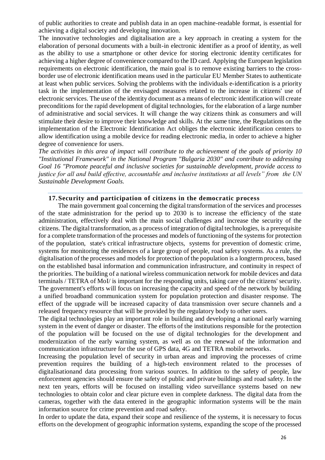of public authorities to create and publish data in an open machine-readable format, is essential for achieving a digital society and developing innovation.

The innovative technologies and digitalisation are a key approach in creating a system for the elaboration of personal documents with a built-in electronic identifier as a proof of identity, as well as the ability to use a smartphone or other device for storing electronic identity certificates for achieving a higher degree of convenience compared to the ID card. Applying the European legislation requirements on electronic identification, the main goal is to remove existing barriers to the crossborder use of electronic identification means used in the particular EU Member States to authenticate at least when public services. Solving the problems with the individuals e-identification is a priority task in the implementation of the envisaged measures related to the increase in citizens' use of electronic services. The use of the identity document as a means of electronic identification will create preconditions for the rapid development of digital technologies, for the elaboration of a large number of administrative and social services. It will change the way citizens think as consumers and will stimulate their desire to improve their knowledge and skills. At the same time, the Regulations on the implementation of the Electronic Identification Act obliges the electronic identification centers to allow identification using a mobile device for reading electronic media, in order to achieve a higher degree of convenience for users.

*The activities in this area of impact will contribute to the achievement of the goals of priority 10 "Institutional Framework" in the National Program "Bulgaria 2030" and contribute to addressing Goal 16 "Promote peaceful and inclusive societies for sustainable development, provide access to justice for all and build effective, accountable and inclusive institutions at all levels" from the UN Sustainable Development Goals.*

#### **17.Security and participation of citizens in the democratic process**

<span id="page-25-0"></span>The main government goal concerning the digital transformation of the services and processes of the state administration for the period up to 2030 is to increase the efficiency of the state administration, effectively deal with the main social challenges and increase the security of the citizens. The digital transformation, as a process of integration of digital technologies, is a prerequisite for a complete transformation of the processes and models of functioning of the systems for protection of the population, state's critical infrastructure objects, systems for prevention of domestic crime, systems for monitoring the residences of a large group of people, road safety systems. As a rule, the digitalisation of the processes and models for protection of the population is a longterm process, based on the established basal information and communication infrastructure, and continuity in respect of the priorities. The building of a national wireless communication network for mobile devices and data terminals / TETRA of MoI/ is important for the responding units, taking care of the citizens' security. The government's efforts will focus on increasing the capacity and speed of the network by building a unified broadband communication system for population protection and disaster response. The effect of the upgrade will be increased capacity of data transmission over secure channels and a released frequency resource that will be provided by the regulatory body to other users.

The digital technologies play an important role in building and developing a national early warning system in the event of danger or disaster. The efforts of the institutions responsible for the protection of the population will be focused on the use of digital technologies for the development and modernization of the early warning system, as well as on the renewal of the information and communication infrastructure for the use of GPS data, 4G and TETRA mobile networks.

Increasing the population level of security in urban areas and improving the processes of crime prevention requires the building of a high-tech environment related to the processes of digitalisationand data processing from various sources. In addition to the safety of people, law enforcement agencies should ensure the safety of public and private buildings and road safety. In the next ten years, efforts will be focused on installing video surveillance systems based on new technologies to obtain color and clear picture even in complete darkness. The digital data from the cameras, together with the data entered in the geographic information systems will be the main information source for crime prevention and road safety.

In order to update the data, expand their scope and resilience of the systems, it is necessary to focus efforts on the development of geographic information systems, expanding the scope of the processed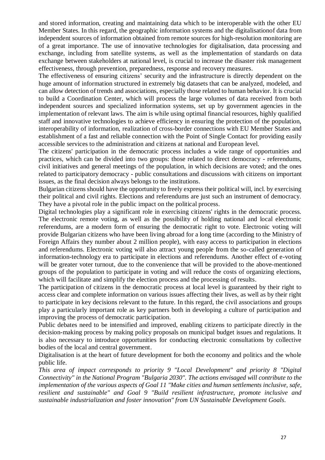and stored information, creating and maintaining data which to be interoperable with the other EU Member States. In this regard, the geographic information systems and the digitalisationof data from independent sources of information obtained from remote sources for high-resolution monitoring are of a great importance. The use of innovative technologies for digitalisation, data processing and exchange, including from satellite systems, as well as the implementation of standards on data exchange between stakeholders at national level, is crucial to increase the disaster risk management effectiveness, through prevention, preparedness, response and recovery measures.

The effectiveness of ensuring citizens' security and the infrastructure is directly dependent on the huge amount of information structured in extremely big datasets that can be analyzed, modeled, and can allow detection of trends and associations, especially those related to human behavior. It is crucial to build a Coordination Center, which will process the large volumes of data received from both independent sources and specialized information systems, set up by government agencies in the implementation of relevant laws. The aim is while using optimal financial resources, highly qualified staff and innovative technologies to achieve efficiency in ensuring the protection of the population, interoperability of information, realization of cross-border connections with EU Member States and establishment of a fast and reliable connection with the Point of Single Contact for providing easily accessible services to the administration and citizens at national and European level.

The citizens' participation in the democratic process includes a wide range of opportunities and practices, which can be divided into two groups: those related to direct democracy - referendums, civil initiatives and general meetings of the population, in which decisions are voted; and the ones related to participatory democracy - public consultations and discussions with citizens on important issues, as the final decision always belongs to the institutions.

Bulgarian citizens should have the opportunity to freely express their political will, incl. by exercising their political and civil rights. Elections and referendums are just such an instrument of democracy. They have a pivotal role in the public impact on the political process.

Digital technologies play a significant role in exercising citizens' rights in the democratic process. The electronic remote voting, as well as the possibility of holding national and local electronic referendums, are a modern form of ensuring the democratic right to vote. Electronic voting will provide Bulgarian citizens who have been living abroad for a long time (according to the Ministry of Foreign Affairs they number about 2 million people), with easy access to participation in elections and referendums. Electronic voting will also attract young people from the so-called generation of information-technology era to participate in elections and referendums. Another effect of e-voting will be greater voter turnout, due to the convenience that will be provided to the above-mentioned groups of the population to participate in voting and will reduce the costs of organizing elections, which will facilitate and simplify the election process and the processing of results.

The participation of citizens in the democratic process at local level is guaranteed by their right to access clear and complete information on various issues affecting their lives, as well as by their right to participate in key decisions relevant to the future. In this regard, the civil associations and groups play a particularly important role as key partners both in developing a culture of participation and improving the process of democratic participation.

Public debates need to be intensified and improved, enabling citizens to participate directly in the decision-making process by making policy proposals on municipal budget issues and regulations. It is also necessary to introduce opportunities for conducting electronic consultations by collective bodies of the local and central government.

Digitalisation is at the heart of future development for both the economy and politics and the whole public life.

*This area of impact corresponds to priority 9 "Local Development" and priority 8 "Digital Connectivity" in the National Program "Bulgaria 2030". The actions envisaged will contribute to the implementation of the various aspects of Goal 11 "Make cities and human settlements inclusive, safe, resilient and sustainable" and Goal 9 "Build resilient infrastructure, promote inclusive and sustainable industrialization and foster innovation" from UN Sustainable Development Goals.*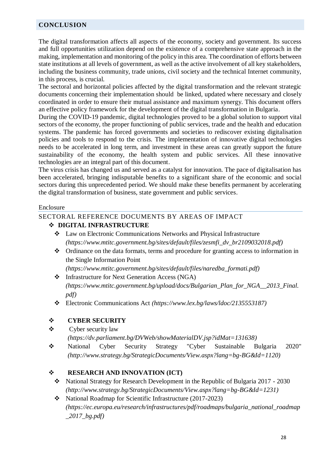## <span id="page-27-0"></span>**CONCLUSION**

The digital transformation affects all aspects of the economy, society and government. Its success and full opportunities utilization depend on the existence of a comprehensive state approach in the making, implementation and monitoring of the policy in this area. The coordination of efforts between state institutions at all levels of government, as well as the active involvement of all key stakeholders, including the business community, trade unions, civil society and the technical Internet community, in this process, is crucial.

The sectoral and horizontal policies affected by the digital transformation and the relevant strategic documents concerning their implementation should be linked, updated where necessary and closely coordinated in order to ensure their mutual assistance and maximum synergy. This document offers an effective policy framework for the development of the digital transformation in Bulgaria.

During the COVID-19 pandemic, digital technologies proved to be a global solution to support vital sectors of the economy, the proper functioning of public services, trade and the health and education systems. The pandemic has forced governments and societies to rediscover existing digitalisation policies and tools to respond to the crisis. The implementation of innovative digital technologies needs to be accelerated in long term, and investment in these areas can greatly support the future sustainability of the economy, the health system and public services. All these innovative technologies are an integral part of this document.

The virus crisis has changed us and served as a catalyst for innovation. The pace of digitalisation has been accelerated, bringing indisputable benefits to a significant share of the economic and social sectors during this unprecedented period. We should make these benefits permanent by accelerating the digital transformation of business, state government and public services.

#### Enclosure

## <span id="page-27-1"></span>SECTORAL REFERENCE DOCUMENTS BY AREAS OF IMPACT

## **DIGITAL INFRASTRUCTURE**

- Law on Electronic Communications Networks and Physical Infrastructure *(https://www.mtitc.government.bg/sites/default/files/zesmfi\_dv\_br2109032018.pdf)*
- [Ordinance on the data formats, terms and procedure for granting access to information in](https://www.mtitc.government.bg/bg/category/166/naredba-za-formatite-na-dannite-i-za-usloviyata-i-reda-za-predostavyane-na-dostup-do-informaciyata-v-edinnata-informacionna-tochka)  [the Single Information Point](https://www.mtitc.government.bg/bg/category/166/naredba-za-formatite-na-dannite-i-za-usloviyata-i-reda-za-predostavyane-na-dostup-do-informaciyata-v-edinnata-informacionna-tochka)

*(https://www.mtitc.government.bg/sites/default/files/naredba\_formati.pdf)*

 Infrastructure for Next Generation Access (NGA) *(https://www.mtitc.government.bg/upload/docs/Bulgarian\_Plan\_for\_NGA\_\_2013\_Final. pdf)*

Electronic Communications Act *(https://www.lex.bg/laws/ldoc/2135553187)*

## **CYBER SECURITY**

- $\triangle$  [Cyber security law](https://e-gov.bg/wps/wcm/connect/e-gov.bg-18083/b9be6269-8dcd-4f5a-9dd8-f8b51d369741/%D0%97%D0%9A%D0%A1.pdf?MOD=AJPERES&CONVERT_TO=url&CACHEID=ROOTWORKSPACE.Z18_HQ8A1O82KGVI60QM8J24B12037-b9be6269-8dcd-4f5a-9dd8-f8b51d369741-n0KZnm5)
	- *(https://dv.parliament.bg/DVWeb/showMaterialDV.jsp?idMat=131638)*
- National Cyber Security Strategy "Cyber Sustainable Bulgaria 2020" *(http://www.strategy.bg/StrategicDocuments/View.aspx?lang=bg-BG&Id=1120)*

## **RESEARCH AND INNOVATION (ICT)**

- [National Strategy for Research Development in the Republic of Bulgaria 2017 -](https://dv.parliament.bg/DVWeb/showMaterialDV.jsp?idMat=115144) 2030 *(http://www.strategy.bg/StrategicDocuments/View.aspx?lang=bg-BG&Id=1231)*
- National Roadmap for Scientific Infrastructure (2017-2023) *(https://ec.europa.eu/research/infrastructures/pdf/roadmaps/bulgaria\_national\_roadmap \_2017\_bg.pdf)*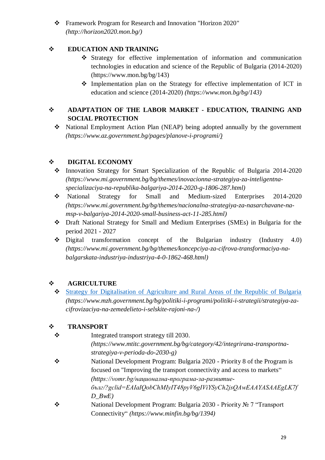[Framework Program for Research and Innovation "Horizon 2020"](http://horizon2020.mon.bg/) *(http://horizon2020.mon.bg/)*

## $\div$  **EDUCATION AND TRAINING**

- [Strategy for effective implementation](http://mon.bg/bg/143) of information and communication [technologies in education and science of the Republic of Bulgaria \(2014-2020\)](http://mon.bg/bg/143) (https://www.mon.bg/bg/143)
- Implementation plan on the Strategy for effective implementation of ICT in education and science (2014-2020) *(https://www.mon.bg/bg/143)*

# **ADAPTATION OF THE LABOR MARKET - EDUCATION, TRAINING AND SOCIAL PROTECTION**

 [National Employment Action Plan \(NEAP\) being adopted annually by the government](https://www.mlsp.government.bg/index.php?section=CONTENT&I=249) *[\(https://www.az.government.bg/pages/planove-i-programi/\)](https://www.az.government.bg/pages/planove-i-programi/)*

## **DIGITAL ECONOMY**

- [Innovation Strategy for Smart Specialization of the Republic of Bulgaria 2014-2020](https://www.mi.government.bg/files/useruploads/files/innovations/ris3_18.12.2018_bulgarian.pdf) *(https://www.mi.government.bg/bg/themes/inovacionna-strategiya-za-inteligentnaspecializaciya-na-republika-balgariya-2014-2020-g-1806-287.html)*
- [National Strategy for Small and Medium-sized Enterprises 2014-2020](file:///C:/Users/tchernaeva/AppData/Local/Microsoft/Windows/INetCache/AppData/Local/Microsoft/Windows/DPesheva/Documents/My%20Documents/AI/обществено%20обсъждане%20мейли/Националната%20стратегия%20за%20насърчаване%20на%20МСП%202014-2020%20г.%20(https:/www.mi.government.bg/bg/themes/nacionalna-strategiya-za-nasarchavane-na-msp-v-balgariya-2014-2020-small-business-act-11-285.html)) *[\(https://www.mi.government.bg/bg/themes/nacionalna-strategiya-za-nasarchavane-na](file:///C:/Users/tchernaeva/AppData/Local/Microsoft/Windows/INetCache/AppData/Local/Microsoft/Windows/DPesheva/Documents/My%20Documents/AI/обществено%20обсъждане%20мейли/Националната%20стратегия%20за%20насърчаване%20на%20МСП%202014-2020%20г.%20(https:/www.mi.government.bg/bg/themes/nacionalna-strategiya-za-nasarchavane-na-msp-v-balgariya-2014-2020-small-business-act-11-285.html))[msp-v-balgariya-2014-2020-small-business-act-11-285.html\)](file:///C:/Users/tchernaeva/AppData/Local/Microsoft/Windows/INetCache/AppData/Local/Microsoft/Windows/DPesheva/Documents/My%20Documents/AI/обществено%20обсъждане%20мейли/Националната%20стратегия%20за%20насърчаване%20на%20МСП%202014-2020%20г.%20(https:/www.mi.government.bg/bg/themes/nacionalna-strategiya-za-nasarchavane-na-msp-v-balgariya-2014-2020-small-business-act-11-285.html))*
- Draft National Strategy for Small and Medium Enterprises (SMEs) in Bulgaria for the period 2021 - 2027
- $\bullet$  Digital transformation concept of the Bulgarian industry (Industry 4.0) *(https://www.mi.government.bg/bg/themes/koncepciya-za-cifrova-transformaciya-nabalgarskata-industriya-industriya-4-0-1862-468.html)*

# **AGRICULTURE**

 [Strategy for Digitalisation of Agriculture and Rural Areas of the Republic of Bulgaria](file:///C:/Users/tchernaeva/AppData/Local/Microsoft/Windows/INetCache/AppData/Local/Microsoft/Windows/INetCache/Content.Outlook/AppData/Roaming/Microsoft/Word/Strategy%20for%20Digitalisation%20of%20Agriculture%20and%20Rural%20Areas%20of%20the%20Republic%20of%20Bulgaria) *(https://www.mzh.government.bg/bg/politiki-i-programi/politiki-i-strategii/strategiya-zacifrovizaciya-na-zemedelieto-i-selskite-rajoni-na-/)*

# **TRANSPORТ**

- [Integrated transport strategy till 2030.](https://www.mtitc.government.bg/bg/category/42/integrirana-transportna-strategiya-v-perioda-do-2030-g) *(https://www.mtitc.government.bg/bg/category/42/integrirana-transportnastrategiya-v-perioda-do-2030-g)*
- National Development Program: Bulgaria 2020 Priority 8 of the Program is focused on "Improving the transport connectivity and access to markets" *(https://vomr.bg/национална-програма-за-развитиебълг/?gclid=EAIaIQobChMIyIT48pyV6gIViYSyCh2jsQAwEAAYASAAEgLK7f D\_BwE)*
- National Development Program: Bulgaria 2030 Priority № 7 "Transport Connectivity" *(https://www.minfin.bg/bg/1394)*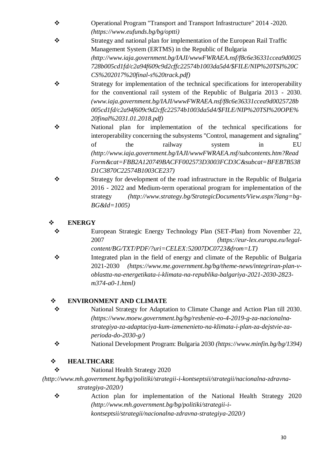- [Operational Program "Transport and Transport Infrastructure" 2014 -2020.](http://www.optransport.bg/page.php?c=291&d=1762) *(https://www.eufunds.bg/bg/optti)*
- Strategy and national plan for implementation of the European Rail Traffic Management System (ERTMS) in the Republic of Bulgaria *(http://www.iaja.government.bg/IAJI/wwwFWRAEA.nsf/f8c6e36331ccea9d0025 728b005cd1fd/c2a94f609c9d2cffc22574b1003da5d4/\$FILE/NIP%20TSI%20C CS%202017%20final-s%20track.pdf)*
- Strategy for implementation of the technical specifications for interoperability for the conventional rail system of the Republic of Bulgaria 2013 - 2030. *(www.iaja.government.bg/IAJI/wwwFWRAEA.nsf/f8c6e36331ccea9d0025728b 005cd1fd/c2a94f609c9d2cffc22574b1003da5d4/\$FILE/NIP%20TSI%20OPE% 20final%2031.01.2018.pdf)*
- [National plan for implementation of the technical specifications for](http://www.iaja.government.bg/IAJI/wwwFWRAEA.nsf/f8c6e36331ccea9d0025728b005cd1fd/c2a94f609c9d2cffc22574b1003da5d4/$FILE/NIP%20TSI%20OPE%20final%2031.01.2018.pdf)  [interoperability concerning the subsystems "Control, management and signaling"](http://www.iaja.government.bg/IAJI/wwwFWRAEA.nsf/f8c6e36331ccea9d0025728b005cd1fd/c2a94f609c9d2cffc22574b1003da5d4/$FILE/NIP%20TSI%20OPE%20final%2031.01.2018.pdf)  of the railway system in EU *(http://www.iaja.government.bg/IAJI/wwwFWRAEA.nsf/subcontents.htm?Read Form&cat=FBB2A120749BACFF002573D3003FCD3C&subcat=BFEB7B538 D1C3870C22574B1003CE237)*
- [Strategy for development of the road infrastructure in the Republic of Bulgaria](http://www.strategy.bg/StrategicDocuments/View.aspx?lang=bg-BG&Id=1005)  2016 - [2022 and Medium-term operational program for implementation of the](http://www.strategy.bg/StrategicDocuments/View.aspx?lang=bg-BG&Id=1005)  [strategy](http://www.strategy.bg/StrategicDocuments/View.aspx?lang=bg-BG&Id=1005) *(http://www.strategy.bg/StrategicDocuments/View.aspx?lang=bg-BG&Id=1005)*

# **ENERGY**

- European Strategic Energy Technology Plan (SET-Plan) from November 22, 2007 *(https://eur-lex.europa.eu/legalcontent/BG/TXT/PDF/?uri=CELEX:52007DC0723&from=LT)*
- Integrated plan in the field of energy and climate of the Republic of Bulgaria 2021-2030 *(https://www.me.government.bg/bg/theme-news/integriran-plan-voblastta-na-energetikata-i-klimata-na-republika-balgariya-2021-2030-2823 m374-a0-1.html)*

# **ENVIRONMENT AND CLIMATE**

- [National Strategy for Adaptation to Climate Change and Action Plan till 2030.](file:///C:/Users/tchernaeva/AppData/Local/Microsoft/Windows/INetCache/AppData/Local/Microsoft/Windows/vdzhermanska/AppData/Local/Microsoft/Windows/INetCache/Content.Outlook/V1E4PZQ6/%09http:/www.strategy.bg/StrategicDocuments/View.aspx%3flang=bg-BG&Id=1294) *(https://www.moew.government.bg/bg/reshenie-eo-4-2019-g-za-nacionalnastrategiya-za-adaptaciya-kum-izmenenieto-na-klimata-i-plan-za-dejstvie-zaperioda-do-2030-g/)*
- National Development Program: Bulgaria 2030 *(https://www.minfin.bg/bg/1394)*

# **HEALTHCARE**

[National Health Strategy 2020](http://www.mh.government.bg/media/filer_public/2016/09/12/nzs_2020.pdf)

*(http://www.mh.government.bg/bg/politiki/strategii-i-kontseptsii/strategii/nacionalna-zdravnastrategiya-2020/)*

\* [Action plan for implementation of the National Health Strategy 2020](http://www.mh.government.bg/media/filer_public/2016/09/12/plan_za_deistvie-nzs_2020.pdf) *(http://www.mh.government.bg/bg/politiki/strategii-ikontseptsii/strategii/nacionalna-zdravna-strategiya-2020/)*